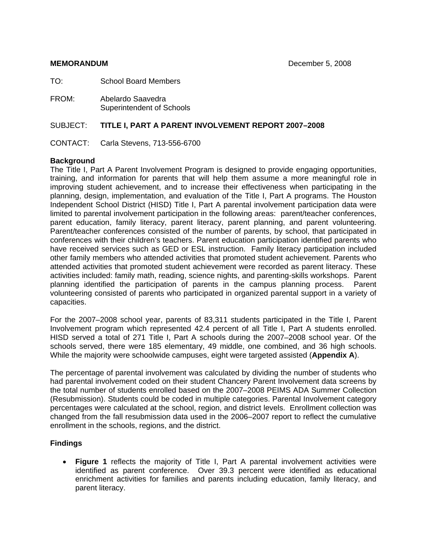TO: School Board Members

FROM:Abelardo Saavedra Superintendent of Schools

#### SUBJECT: **TITLE I, PART A PARENT INVOLVEMENT REPORT 2007–2008**

CONTACT: Carla Stevens, 713-556-6700

#### **Background**

The Title I, Part A Parent Involvement Program is designed to provide engaging opportunities, training, and information for parents that will help them assume a more meaningful role in improving student achievement, and to increase their effectiveness when participating in the planning, design, implementation, and evaluation of the Title I, Part A programs. The Houston Independent School District (HISD) Title I, Part A parental involvement participation data were limited to parental involvement participation in the following areas: parent/teacher conferences, parent education, family literacy, parent literacy, parent planning, and parent volunteering. Parent/teacher conferences consisted of the number of parents, by school, that participated in conferences with their children's teachers. Parent education participation identified parents who have received services such as GED or ESL instruction. Family literacy participation included other family members who attended activities that promoted student achievement. Parents who attended activities that promoted student achievement were recorded as parent literacy. These activities included: family math, reading, science nights, and parenting-skills workshops. Parent planning identified the participation of parents in the campus planning process. Parent volunteering consisted of parents who participated in organized parental support in a variety of capacities.

For the 2007–2008 school year, parents of 83,311 students participated in the Title I, Parent Involvement program which represented 42.4 percent of all Title I, Part A students enrolled. HISD served a total of 271 Title I, Part A schools during the 2007–2008 school year. Of the schools served, there were 185 elementary, 49 middle, one combined, and 36 high schools. While the majority were schoolwide campuses, eight were targeted assisted (**Appendix A**).

The percentage of parental involvement was calculated by dividing the number of students who had parental involvement coded on their student Chancery Parent Involvement data screens by the total number of students enrolled based on the 2007–2008 PEIMS ADA Summer Collection (Resubmission). Students could be coded in multiple categories. Parental Involvement category percentages were calculated at the school, region, and district levels. Enrollment collection was changed from the fall resubmission data used in the 2006–2007 report to reflect the cumulative enrollment in the schools, regions, and the district.

#### **Findings**

• **Figure 1** reflects the majority of Title I, Part A parental involvement activities were identified as parent conference. Over 39.3 percent were identified as educational enrichment activities for families and parents including education, family literacy, and parent literacy.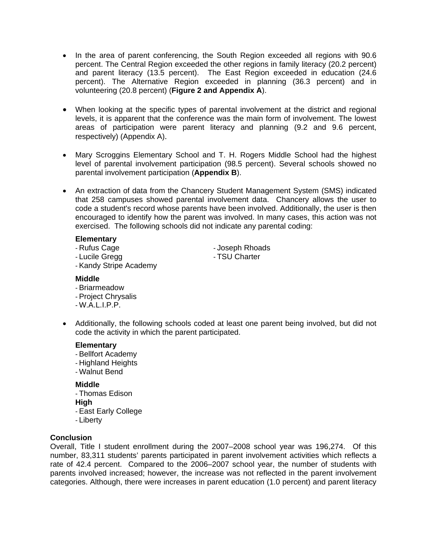- In the area of parent conferencing, the South Region exceeded all regions with 90.6 percent. The Central Region exceeded the other regions in family literacy (20.2 percent) and parent literacy (13.5 percent). The East Region exceeded in education (24.6 percent). The Alternative Region exceeded in planning (36.3 percent) and in volunteering (20.8 percent) (**Figure 2 and Appendix A**).
- When looking at the specific types of parental involvement at the district and regional levels, it is apparent that the conference was the main form of involvement. The lowest areas of participation were parent literacy and planning (9.2 and 9.6 percent, respectively) (Appendix A).
- Mary Scroggins Elementary School and T. H. Rogers Middle School had the highest level of parental involvement participation (98.5 percent). Several schools showed no parental involvement participation (**Appendix B**).
- An extraction of data from the Chancery Student Management System (SMS) indicated that 258 campuses showed parental involvement data. Chancery allows the user to code a student's record whose parents have been involved. Additionally, the user is then encouraged to identify how the parent was involved. In many cases, this action was not exercised. The following schools did not indicate any parental coding:

#### **Elementary**

- Rufus Cage  **Accept Rhoads** Joseph Rhoads
- Lucile Gregg  **TSU Charter**

- Kandy Stripe Academy

#### **Middle**

- Briarmeadow
- Project Chrysalis
- $-W.A.L.I.P.P.$
- Additionally, the following schools coded at least one parent being involved, but did not code the activity in which the parent participated.

#### **Elementary**

- Bellfort Academy
- Highland Heights
- Walnut Bend

#### **Middle**

- Thomas Edison
- **High**
- East Early College
- Liberty

## **Conclusion**

Overall, Title I student enrollment during the 2007–2008 school year was 196,274. Of this number, 83,311 students' parents participated in parent involvement activities which reflects a rate of 42.4 percent. Compared to the 2006–2007 school year, the number of students with parents involved increased; however, the increase was not reflected in the parent involvement categories. Although, there were increases in parent education (1.0 percent) and parent literacy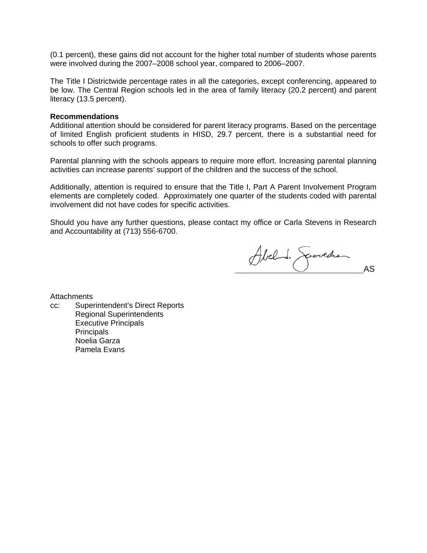(0.1 percent), these gains did not account for the higher total number of students whose parents were involved during the 2007–2008 school year, compared to 2006–2007.

The Title I Districtwide percentage rates in all the categories, except conferencing, appeared to be low. The Central Region schools led in the area of family literacy (20.2 percent) and parent literacy (13.5 percent).

#### **Recommendations**

Additional attention should be considered for parent literacy programs. Based on the percentage of limited English proficient students in HISD, 29.7 percent, there is a substantial need for schools to offer such programs.

Parental planning with the schools appears to require more effort. Increasing parental planning activities can increase parents' support of the children and the success of the school.

Additionally, attention is required to ensure that the Title I, Part A Parent Involvement Program elements are completely coded. Approximately one quarter of the students coded with parental involvement did not have codes for specific activities.

Should you have any further questions, please contact my office or Carla Stevens in Research and Accountability at (713) 556-6700.

Abel de Spervedre

**Attachments** 

cc: Superintendent's Direct Reports Regional Superintendents Executive Principals **Principals** Noelia Garza Pamela Evans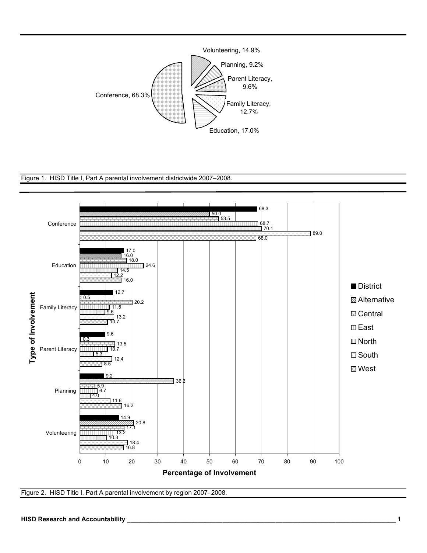





Figure 2. HISD Title I, Part A parental involvement by region 2007–2008.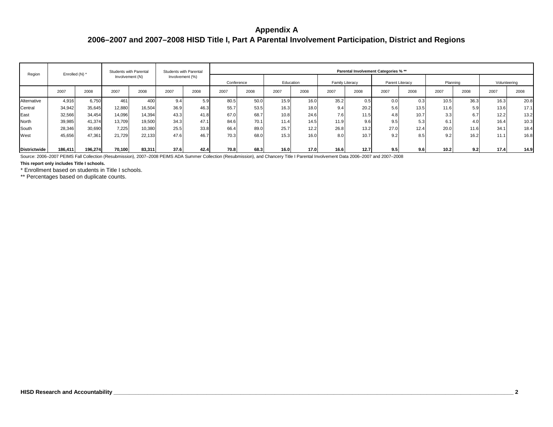# **Appendix A2006–2007 and 2007–2008 HISD Title I, Part A Parental Involvement Participation, District and Regions**

| Region              | Enrolled (N) * |         | Students with Parental |        |                 | Students with Parental |            |      |           |      |      |                 | Parental Involvement Categories % ** |      |          |      |      |              |
|---------------------|----------------|---------|------------------------|--------|-----------------|------------------------|------------|------|-----------|------|------|-----------------|--------------------------------------|------|----------|------|------|--------------|
|                     |                |         | Involvement (N)        |        | Involvement (%) |                        | Conference |      | Education |      |      | Family Literacy | Parent Literacy                      |      | Planning |      |      | Volunteering |
|                     | 2007           | 2008    | 2007                   | 2008   | 2007            | 2008                   | 2007       | 2008 | 2007      | 2008 | 2007 | 2008            | 2007                                 | 2008 | 2007     | 2008 | 2007 | 2008         |
| Alternative         | 4,916          | 6.750   | 461                    | 40C    | 9.4             | 50                     | 80.5       | 50.0 | 15.9      | 16.0 | 35.2 | 0.5             | 0.0                                  | 0.3  | 10.5     | 36.3 | 16.3 | 20.8         |
| Central             | 34,942         | 35,645  | 12,880                 | 16,504 | 36.9            | 46.3                   | 55.7       | 53.5 | 16.3      | 18.0 | 9.4  | 20.2            | 5.6                                  | 13.5 | 11.6     | 5.9  | 13.6 | 17.1         |
| East                | 32,566         | 34,454  | 14,096                 | 14,394 | 43.3            | 41.8                   | 67.0       | 68.7 | 10.8      | 24.6 | 7.6  | 11.5            | 4.8                                  | 10.7 | 3.3      | 6.7  | 12.2 | 13.2         |
| North               | 39,985         | 41,374  | 13,709                 | 19,500 | 34.3            | 47.1                   | 84.6       | 70.1 | 11.4      | 14.5 | 11.9 | 9.6             | 9.5                                  | 5.3  | 6.1      | 4.0  | 16.4 | 10.3         |
| South               | 28,346         | 30,690  | 7,225                  | 10,380 | 25.5            | 33.8                   | 66.4       | 89.0 | 25.7      | 12.2 | 26.8 | 13.2            | 27.0                                 | 12.4 | 20.0     | 11.6 | 34.1 | 18.4         |
| West                | 45,656         | 47,361  | 21,729                 | 22,133 | 47.6            | 46.7                   | 70.3       | 68.0 | 15.3      | 16.0 | 8.0  | 10.7            | 9.2                                  | 8.5  | 9.2      | 16.2 | 11.1 | 16.8         |
| <b>Districtwide</b> | 186,411        | 196,274 | 70,100                 | 83,311 | 37.6            | 42.4                   | 70.8       | 68.3 | 16.0      | 17.0 | 16.6 | 12.7            | 9.5                                  | 9.6  | 10.2     | 9.2  | 17.4 | 14.9         |

Source: 2006–2007 PEIMS Fall Collection (Resubmission), 2007–2008 PEIMS ADA Summer Collection (Resubmission), and Chancery Title I Parental Involvement Data 2006–2007 and 2007–2008

**This report only includes Title I schools.**

\* Enrollment based on students in Title I schools.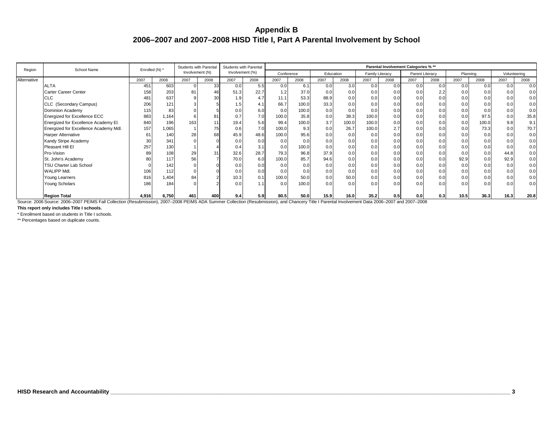| Region      | School Name                           | Enrolled (N) * |       | Students with Parental |                | Students with Parental |      |                  |       |           |       |                 |      | Parental Involvement Categories % ** |      |      |                 |              |      |
|-------------|---------------------------------------|----------------|-------|------------------------|----------------|------------------------|------|------------------|-------|-----------|-------|-----------------|------|--------------------------------------|------|------|-----------------|--------------|------|
|             |                                       |                |       | Involvement (N)        |                | Involvement (%)        |      | Conference       |       | Education |       | Family Literacy |      | Parent Literacy                      |      |      | Planning        | Volunteering |      |
| Alternative |                                       | 2007           | 2008  | 2007                   | 2008           | 2007                   | 2008 | 2007             | 2008  | 2007      | 2008  | 2007            | 2008 | 2007                                 | 2008 | 2007 | 2008            | 2007         | 2008 |
|             | <b>ALTA</b>                           | 451            | 603   |                        | 33             | 0.0                    | 5.5  | 0.0              | 6.1   | 0.0       | 3.0   | 0.0             | 0.0  | 0.0                                  | 0.0  | 0.0  | 0.0             | 0.0          | 0.0  |
|             | Carter Career Center                  | 158            | 203   | 81                     | 46             | 51.3                   | 22.7 | 1.2              | 37.0  | 0.0       | 0.0   | 0.0             | 0.0  | 0.0                                  | 2.2  | 0.0  | 0. <sub>C</sub> | 0.0          | 0.0  |
|             | CLC                                   | 481            | 637   |                        | 3 <sup>0</sup> | 1.9                    | 4.7  | 11.1             | 53.3  | 88.9      | 0.0   | 0.0             | 0.0  | 0.0                                  | 0.0  | 0.0  | 0.0             | 0.0          | 0.0  |
|             | CLC (Secondary Campus)                | 206            | 121   |                        |                | 1.5                    | 4.1  | 66.7             | 100.0 | 33.3      | 0.0   | 0.0             | 0.0  | 0.0                                  | 0.0  | 0.0  | 0.0             | 0.0          | 0.0  |
|             | Dominion Academy                      | 115            | 83    |                        |                |                        | 6.0  | 0.0              | 100.0 | 0.0       | 0.0   | 0.0             | 0.0  | 0.0                                  | 0.0  | 0.0  | 0. <sub>C</sub> | 0.0          | 0.0  |
|             | <b>Energized for Excellence ECC</b>   | 883            | 1,164 |                        | 81             |                        | 7.0  | 100.0            | 35.8  | 0.0       | 38.3  | 100.0           | 0.0  | 0.0                                  | 0.0  | 0.0  | 97.5            | 0.0          | 35.8 |
|             | Energized for Excellence Academy El.  | 840            | 196   | 163                    | 11             | 19.4                   | 5.6  | 99.4             | 100.0 | 3.7       | 100.0 | 100.0           | 0.0  | 0.0                                  | 0.0  | 0.0  | 100.0           | 9.8          | 9.1  |
|             | Energized for Excellence Academy Mdl. | 157            | 1,065 |                        | 75             | 0.6                    | 7.0  | 100.0            | 9.3   | 0.0       | 26.7  | 100.0           | 2.7  | 0.0                                  | 0.0  | 0.0  | 73.3            | 0.0          | 70.7 |
|             | <b>Harper Alternative</b>             | 61             | 140   | 28                     | 68             | 45.9                   | 48.6 | 100.0            | 95.6  | 0.0       | 0.0   | 0.0             | 0.0  | 0.0                                  | 0.0  | 0.0  | 0.0             | 0.0          | 0.0  |
|             | Kandy Stripe Academy                  | 30             | 341   |                        |                | 0.0                    | 0.0  | 0.0              | 0.0   | 0.0       | 0.0   | 0.0             | 0.0  | 0.0                                  | 0.0  | 0.0  | 0.0             | 0.0          | 0.0  |
|             | Pleasant Hill El                      | 257            | 130   |                        |                | 0.4                    | 3.1  | 0.0              | 100.0 | 0.0       | 0.0   | 0.0             | 0.0  | 0.0                                  | 0.0  | 0.0  | 0.0             | 0.0          | 0.0  |
|             | Pro-Vision                            | 89             | 108   | 29                     | 31             | 32.6                   | 28.7 | 79.3             | 96.8  | 37.9      | 0.0   | 0.0             | 0.0  | 0.0                                  | 0.0  | 0.0  | 0.0             | 44.8         | 0.0  |
|             | St. John's Academy                    | 80             | 117   | 56                     |                | 70.0                   | 6.0  | 100.0            | 85.7  | 94.6      | 0.0   | 0.0             | 0.0  | 0.0                                  | 0.0  | 92.9 | 0.0             | 92.9         | 0.0  |
|             | <b>TSU Charter Lab School</b>         |                | 142   |                        |                |                        | 0.0  | 0.0              | 0.0   | 0.0       | 0.0   | 0.0             | 0.0  | 0.0                                  | 0.0  | 0.0  | 0.0             | 0.0          | 0.0  |
|             | WALIPP Mdl.                           | 106            | 112   |                        |                |                        | 0.0  | 0.0              | 0.0   | 0.0       | 0.0   | 0.0             | 0.0  | 0.0                                  | 0.0  | 0.0  | 0.0             | 0.0          | 0.0  |
|             | Young Learners                        | 816            | 1,404 | 84                     |                | 10.3                   | 0.1  | 100.0            | 50.0  | 0.0       | 50.0  | 0.0             | 0.0  | 0.0                                  | 0.0  | 0.0  | 0.0             | 0.0          | 0.0  |
|             | Young Scholars                        | 186            | 184   |                        |                | 0.0                    | 1.11 | 0.0 <sub>1</sub> | 100.0 | 0.0       | 0.0   | 0.0             | 0.0  | 0.0                                  | 0.0  | 0.0  | 0.0             | 0.0          | 0.0  |
|             | <b>Region Total</b>                   | 4,916          | 6,750 | 461                    | 400            | 9.4                    | 5.9  | 80.5             | 50.0  | 15.9      | 16.0  | 35.2            | 0.5  | 0.0                                  | 0.3  | 10.5 | 36.3            | 16.3         | 20.8 |

Source: 2006 Source: 2006–2007 PEIMS Fall Collection (Resubmission), 2007–2008 PEIMS ADA Summer Collection (Resubmission), and Chancery Title I Parental Involvement Data 2006–2007 and 2007–2008

**This report only includes Title I schools.**

\* Enrollment based on students in Title I schools.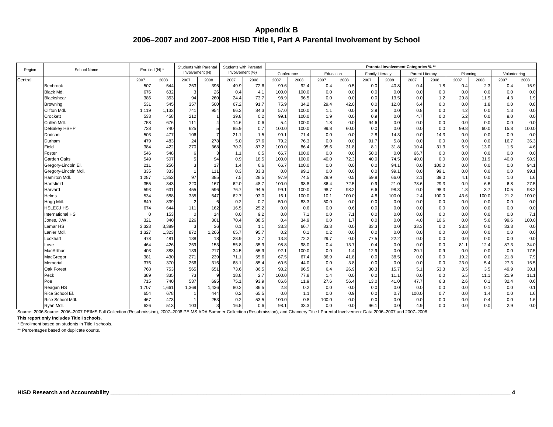| Region  | School Name            | Enrolled (N) * |       | <b>Students with Parental</b> |       | <b>Students with Parental</b> |      |            |       |       |           |                        |       | Parental Involvement Categories % ** |       |      |          |              |       |
|---------|------------------------|----------------|-------|-------------------------------|-------|-------------------------------|------|------------|-------|-------|-----------|------------------------|-------|--------------------------------------|-------|------|----------|--------------|-------|
|         |                        |                |       | Involvement (N)               |       | Involvement (%)               |      | Conference |       |       | Education | <b>Family Literacy</b> |       | Parent Literacy                      |       |      | Planning | Volunteering |       |
| Central |                        | 2007           | 2008  | 2007                          | 2008  | 2007                          | 2008 | 2007       | 2008  | 2007  | 2008      | 2007                   | 2008  | 2007                                 | 2008  | 2007 | 2008     | 2007         | 2008  |
|         | Benbrook               | 507            | 544   | 253                           | 395   | 49.9                          | 72.6 | 99.6       | 92.4  | 0.4   | 0.5       | 0.0                    | 40.8  | 0.4                                  | 1.8   | 0.4  | 2.3      | 0.4          | 15.9  |
|         | <b>Black Mdl.</b>      | 676            | 632   | 3                             | 26    | 0.4                           | 4.1  | 100.0      | 100.0 | 0.0   | 0.0       | 0.0                    | 0.0   | 0.0                                  | 0.0   | 0.0  | 0.0      | 0.0          | 0.0   |
|         | Blackshear             | 386            | 353   | 94                            | 260   | 24.4                          | 73.7 | 98.9       | 96.5  | 0.0   | 0.0       | 0.0                    | 13.5  | 0.0                                  | 1.2   | 29.8 | 11.9     | 4.3          | 1.9   |
|         | Browning               | 531            | 545   | 357                           | 500   | 67.2                          | 91.7 | 75.9       | 34.2  | 29.4  | 42.0      | 0.0                    | 12.8  | 6.4                                  | 0.0   | 0.0  | 1.8      | 0.0          | 0.8   |
|         | Clifton Mdl.           | 1,119          | 1,132 | 741                           | 954   | 66.2                          | 84.3 | 57.0       | 100.0 | 1.1   | 0.0       | 3.9                    | 0.0   | 0.8                                  | 0.0   | 4.2  | 0.0      | 1.3          | 0.0   |
|         | Crockett               | 533            | 458   | 212                           |       | 39.8                          | 0.2  | 99.1       | 100.0 | 1.9   | 0.0       | 0.9                    | 0.0   | 4.7                                  | 0.0   | 5.2  | 0.0      | 9.0          | 0.0   |
|         | Cullen Mdl             | 758            | 676   | 111                           |       | 14.6                          | 0.6  | 5.4        | 100.0 | 1.8   | 0.0       | 94.6                   | 0.0   | 0.0                                  | 0.0   | 0.0  | 0.0      | 0.0          | 0.0   |
|         | DeBakey HSHP           | 728            | 740   | 625                           |       | 85.9                          | 0.7  | 100.0      | 100.0 | 99.8  | 60.0      | 0.0                    | 0.0   | 0.0                                  | 0.0   | 99.8 | 60.0     | 15.8         | 100.0 |
|         | Dodson                 | 503            | 477   | 106                           |       | 21.1                          | 1.5  | 99.1       | 71.4  | 0.0   | 0.0       | 2.8                    | 14.3  | 0.0                                  | 14.3  | 0.0  | 0.0      | 0.9          | 0.0   |
|         | Durham                 | 479            | 483   | 24                            | 278   | 5.0                           | 57.6 | 79.2       | 76.3  | 0.0   | 0.0       | 91.7                   | 5.8   | 0.0                                  | 0.0   | 0.0  | 0.0      | 16.7         | 36.3  |
|         | Field                  | 384            | 422   | 270                           | 368   | 70.3                          | 87.2 | 100.0      | 86.4  | 95.6  | 31.8      | 8.1                    | 31.8  | 10.4                                 | 31.3  | 5.9  | 13.0     | 1.5          | 4.6   |
|         | Foster                 | 546            | 548   | 6                             |       | 1.1                           | 0.5  | 66.7       | 100.0 | 0.0   | 0.0       | 50.0                   | 0.0   | 66.7                                 | 0.0   | 0.0  | 0.0      | 0.0          | 0.0   |
|         | Garden Oaks            | 549            | 507   |                               | 94    | 0.9                           | 18.5 | 100.0      | 100.0 | 40.0  | 72.3      | 40.0                   | 74.5  | 40.0                                 | 0.0   | 0.0  | 31.9     | 40.0         | 98.9  |
|         | Gregory-Lincoln El.    | 211            | 256   | 3                             | 17    | 1.4                           | 6.6  | 66.7       | 100.0 | 0.0   | 0.0       | 0.0                    | 94.1  | 0.0                                  | 100.0 | 0.0  | 0.0      | 0.0          | 94.1  |
|         | Gregory-Lincoln Mdl.   | 335            | 333   |                               | 111   | 0.3                           | 33.3 | 0.0        | 99.1  | 0.0   | 0.0       | 0.0                    | 99.1  | 0.0                                  | 99.1  | 0.0  | 0.0      | 0.0          | 99.1  |
|         | Hamilton Mdl.          | 1,287          | 1,352 | 97                            | 385   | 7.5                           | 28.5 | 97.9       | 74.5  | 28.9  | 0.5       | 59.8                   | 66.0  | 2.1                                  | 39.0  | 4.1  | 0.0      | 1.0          | 1.6   |
|         | Hartsfield             | 355            | 343   | 220                           | 167   | 62.0                          | 48.7 | 100.0      | 98.8  | 86.4  | 72.5      | 0.9                    | 21.0  | 78.6                                 | 29.3  | 0.9  | 6.6      | 6.8          | 27.5  |
|         | Harvard                | 593            | 631   | 455                           | 596   | 76.7                          | 94.5 | 99.1       | 100.0 | 98.7  | 98.2      | 6.6                    | 98.3  | 0.0                                  | 98.3  | 1.8  | 3.7      | 10.5         | 98.2  |
|         | Helms                  | 534            | 588   | 335                           | 547   | 62.7                          | 93.0 | 16.1       | 100.0 | 10.1  | 100.0     | 4.8                    | 100.0 | 2.4                                  | 100.0 | 43.6 | 100.0    | 21.2         | 100.0 |
|         | Hogg Mdl.              | 849            | 839   | $\overline{2}$                | -6    | 0.2                           | 0.7  | 50.0       | 83.3  | 50.0  | 0.0       | 0.0                    | 0.0   | 0.0                                  | 0.0   | 0.0  | 0.0      | 0.0          | 0.0   |
|         | <b>HSLECJ HS</b>       | 674            | 644   | 111                           | 162   | 16.5                          | 25.2 | 0.0        | 0.6   | 0.0   | 0.6       | 0.0                    | 0.0   | 0.0                                  | 0.0   | 0.0  | 0.0      | 0.0          | 0.0   |
|         | International HS       | $\Omega$       | 153   | $\mathbf 0$                   | 14    | 0.0                           | 9.2  | 0.0        | 7.1   | 0.0   | 7.1       | 0.0                    | 0.0   | 0.0                                  | 0.0   | 0.0  | 0.0      | 0.0          | 7.1   |
|         | Jones, J.W.            | 321            | 340   | 226                           | 301   | 70.4                          | 88.5 | 0.4        | 34.9  | 0.0   | 1.7       | 0.0                    | 0.0   | 4.0                                  | 10.6  | 0.0  | 5.6      | 99.6         | 100.0 |
|         | Lamar HS               | 3,323          | 3,389 | 3                             | 36    | 0.1                           | 1.1  | 33.3       | 66.7  | 33.3  | 0.0       | 33.3                   | 0.0   | 33.3                                 | 0.0   | 33.3 | 0.0      | 33.3         | 0.0   |
|         | Lanier Md              | 1,327          | 1,323 | 872                           | 1,266 | 65.7                          | 95.7 | 0.2        | 0.1   | 0.2   | 0.0       | 0.0                    | 0.0   | 0.0                                  | 0.0   | 0.0  | 0.0      | 0.0          | 0.0   |
|         | Lockhart               | 478            | 481   | 138                           | 18    | 28.9                          | 3.7  | 13.8       | 72.2  | 29.7  | 0.0       | 77.5                   | 22.2  | 0.0                                  | 0.0   | 0.0  | 0.0      | 0.0          | 0.0   |
|         | Love                   | 464            | 426   | 259                           | 153   | 55.8                          | 35.9 | 98.8       | 98.0  | 0.4   | 13.7      | 0.4                    | 0.0   | 0.0                                  | 0.0   | 81.1 | 12.4     | 87.3         | 34.0  |
|         | MacArthur              | 403            | 388   | 139                           | 217   | 34.5                          | 55.9 | 92.1       | 100.0 | 0.0   | 1.4       | 12.9                   | 0.0   | 20.1                                 | 0.9   | 0.0  | 0.0      | 0.0          | 17.5  |
|         | MacGregor              | 381            | 430   | 271                           | 239   | 71.1                          | 55.6 | 67.5       | 67.4  | 36.9  | 41.8      | 0.0                    | 38.5  | 0.0                                  | 0.0   | 19.2 | 0.0      | 21.8         | 7.9   |
|         | Memorial               | 376            | 370   | 256                           | 316   | 68.1                          | 85.4 | 60.5       | 44.0  | 0.0   | 3.8       | 0.0                    | 0.0   | 0.0                                  | 0.0   | 23.0 | 5.4      | 27.3         | 15.5  |
|         | Oak Forest             | 768            | 753   | 565                           | 651   | 73.6                          | 86.5 | 98.2       | 96.5  | 6.4   | 26.9      | 30.3                   | 15.7  | 5.1                                  | 53.3  | 8.5  | 3.5      | 49.9         | 30.1  |
|         | Peck                   | 389            | 335   | 73                            |       | 18.8                          | 2.7  | 100.0      | 77.8  | 1.4   | 0.0       | 0.0                    | 11.1  | 0.0                                  | 0.0   | 5.5  | 11.1     | 21.9         | 11.1  |
|         | Poe                    | 715            | 740   | 537                           | 695   | 75.1                          | 93.9 | 86.6       | 11.9  | 27.6  | 56.4      | 13.0                   | 41.0  | 47.7                                 | 6.3   | 2.6  | 0.1      | 32.4         | 0.6   |
|         | Reagan HS              | 1,707          | 1,661 | 1,369                         | 1,436 | 80.2                          | 86.5 | 2.8        | 0.2   | 0.0   | 0.0       | 0.0                    | 0.0   | 0.0                                  | 0.0   | 0.0  | 0.1      | 0.0          | 0.1   |
|         | Rice School El.        | 654            | 678   |                               | 444   | 0.2                           | 65.5 | 0.0        | 1.1   | 0.0   | 0.9       | 0.0                    | 0.7   | 100.0                                | 0.7   | 0.0  | 1.4      | 0.0          | 1.6   |
|         | <b>Rice School Mdl</b> | 467            | 473   |                               | 253   | 0.2                           | 53.5 | 100.0      | 0.8   | 100.0 | 0.0       | 0.0                    | 0.0   | 0.0                                  | 0.0   | 0.0  | 0.4      | 0.0          | 1.6   |
|         | Ryan Mdl.              | 626            | 513   | 103                           |       | 16.5                          | 0.6  | 98.1       | 33.3  | 0.0   | 0.0       | 96.1                   | 0.0   | 4.9                                  | 0.0   | 0.0  | 0.0      | 2.9          | 0.0   |

Source: 2006 Source: 2006–2007 PEIMS Fall Collection (Resubmission), 2007–2008 PEIMS ADA Summer Collection (Resubmission), and Chancery Title I Parental Involvement Data 2006–2007 and 2007–2008

**This report only includes Title I schools.**

\* Enrollment based on students in Title I schools.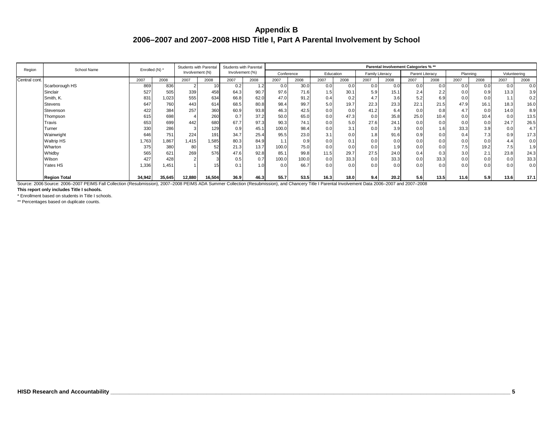| Region        | School Name                                                                                                                                                                                                              | Enrolled (N) * |        | Students with Parental |        | Students with Parental |      |                  |       |           |      |                 |      | Parental Involvement Categories % ** |                  |      |                 |              |      |
|---------------|--------------------------------------------------------------------------------------------------------------------------------------------------------------------------------------------------------------------------|----------------|--------|------------------------|--------|------------------------|------|------------------|-------|-----------|------|-----------------|------|--------------------------------------|------------------|------|-----------------|--------------|------|
|               |                                                                                                                                                                                                                          |                |        | Involvement (N)        |        | Involvement (%)        |      | Conference       |       | Education |      | Family Literacy |      | Parent Literacy                      |                  |      | Planning        | Volunteering |      |
| Central cont. |                                                                                                                                                                                                                          | 2007           | 2008   | 2007                   | 2008   | 2007                   | 2008 | 2007             | 2008  | 2007      | 2008 | 2007            | 2008 | 2007                                 | 2008             | 2007 | 2008            | 2007         | 2008 |
|               | Scarborough HS                                                                                                                                                                                                           | 869            | 836    |                        |        | 0.2                    | 1.2  | 0.0              | 30.0  | 0.0       | 0.0  | 0.0             | 0.0  | 0.0                                  | 0.0              | 0.0  | 0.0             | 0.0          | 0.0  |
|               | Sinclair                                                                                                                                                                                                                 | 527            | 505    | 339                    | 458    | 64.3                   | 90.7 | 97.6             | 71.6  | 1.5       | 30.1 | 5.9             | 15.1 | 2.4                                  | 2.2              | 0.0  | 0.9             | 13.3         | 3.9  |
|               | Smith, K.                                                                                                                                                                                                                | 831            | 1,023  | 555                    | 634    | 66.8                   | 62.0 | 47.0             | 91.2  | 0.4       | 0.2  | 4.7             | 3.6  | 5.2                                  | 6.9              | 0.0  | 0. <sub>C</sub> |              | 0.2  |
|               | <b>Stevens</b>                                                                                                                                                                                                           | 647            | 760    | 443                    | 614    | 68.5                   | 80.8 | 98.4             | 99.7  | 5.0       | 19.7 | 22.3            | 23.3 | 22.1                                 | 21.5             | 47.9 | 16.1            | 18.3         | 16.0 |
|               | Stevenson                                                                                                                                                                                                                | 422            | 384    | 257                    | 360    | 60.9                   | 93.8 | 46.3             | 42.5  | 0.0       | 0.0  | 41.2            | 6.4  | 0.0                                  | 0.8              | 4.7  | 0.0             | 14.0         | 8.9  |
|               | Thompson                                                                                                                                                                                                                 | 615            | 698    |                        | 260    |                        | 37.2 | 50.0             | 65.0  | 0.0       | 47.3 | 0.0             | 35.8 | 25.0                                 | 10.4             | 0.01 | 10.4            | 0.0          | 13.5 |
|               | Travis                                                                                                                                                                                                                   | 653            | 699    | 442                    | 680    | 67.7                   | 97.3 | 90.3             | 74.1  | 0.0       | 5.0  | 27.6            | 24.1 | 0.0                                  | 0.0              | 0.0  | 0.0             | 24.7         | 26.5 |
|               | Turner                                                                                                                                                                                                                   | 330            | 286    |                        | 129    | 0.9                    | 45.1 | 100.0            | 98.4  | 0.0       | 3.1  | 0.0             | 3.9  | 0.0                                  | 1.6              | 33.3 | 3.9             | 0.0          | 4.7  |
|               | Wainwright                                                                                                                                                                                                               | 646            | 751    | 224                    | 191    | 34.7                   | 25.4 | 95.5             | 23.0  | 3.1       | 0.0  | 1.8             | 91.6 | 0.9                                  | 0.0              | 0.4  | 7.3             | 0.9          | 17.3 |
|               | <b>Waltrip HS</b>                                                                                                                                                                                                        | 1,763          | 1,867  | 1,415                  | 1,585  | 80.3                   | 84.9 | 1.1 <sub>1</sub> | 0.9   | 0.0       | 0.1  | 0.0             | 0.0  | 0.0                                  | 0.0              | 0.0  | 0.0             | 4.4          | 0.0  |
|               | Wharton                                                                                                                                                                                                                  | 375            | 380    | 80                     | 52     | 21.3                   | 13.7 | 100.0            | 75.0  | 0.0       | 0.0  | 0.0             | 1.9  | 0.0                                  | 0.0 <sub>1</sub> | 7.5  | 19.2            | 7.5          | 1.9  |
|               | Whidby                                                                                                                                                                                                                   | 565            | 621    | 269                    | 576    | 47.6                   | 92.8 | 85.1             | 99.8  | 11.5      | 29.7 | 27.5            | 24.0 | 0.4                                  | 0.3              | 3.0  | 2.1             | 23.8         | 24.3 |
|               | Wilson                                                                                                                                                                                                                   | 427            | 428    |                        |        | 0.5                    |      | 100.0            | 100.0 | 0.0       | 33.3 | 0.0             | 33.3 | 0.0                                  | 33.3             | 0.0  | 0.0             | 0.0          | 33.3 |
|               | Yates HS                                                                                                                                                                                                                 | 1,336          | 1,451  |                        |        |                        | 1.0  | 0.0              | 66.7  | 0.0       | 0.0  | 0.0             | 0.0  | 0.0                                  | 0.0              | 0.0  | 0.0             | 0.0          | 0.0  |
|               | <b>Region Total</b><br>Source: 2006 Source: 2006-2007 PEIMS Fall Collection (Resubmission), 2007-2008 PEIMS ADA Summer Collection (Resubmission), and Chancery Title I Parental Involvement Data 2006-2007 and 2007-2008 | 34,942         | 35,645 | 12,880                 | 16,504 | 36.9                   | 46.3 | 55.7             | 53.5  | 16.3      | 18.0 | 9.4             | 20.2 | 5.6                                  | 13.5             | 11.6 | 5.9             | 13.6         | 17.1 |

Source: 2006 Source: 2006–2007 PEIMS Fall Collection (Resubmission), 2007–2008 PEIMS ADA Summer Collec n), 2007–2008 PEIMS ADA Summer Collection (Resubmission), and Chancery Title I Parental Involvement Data 2006–2007 and 200

**This report only includes Title I schools.**

\* Enrollment based on students in Title I schools.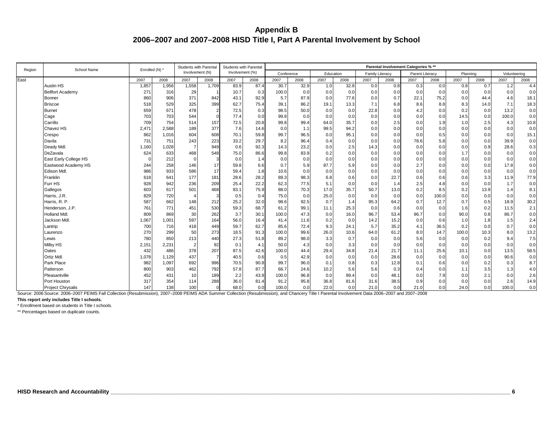| Region | School Name              | Enrolled (N) * |       | Students with Parental |                | <b>Students with Parental</b> |                 |            |      |           |      |                 |      | Parental Involvement Categories % ** |       |          |      |              |      |
|--------|--------------------------|----------------|-------|------------------------|----------------|-------------------------------|-----------------|------------|------|-----------|------|-----------------|------|--------------------------------------|-------|----------|------|--------------|------|
|        |                          |                |       | Involvement (N)        |                | Involvement (%)               |                 | Conference |      | Education |      | Family Literacy |      | Parent Literacy                      |       | Planning |      | Volunteering |      |
| East   |                          | 2007           | 2008  | 2007                   | 2008           | 2007                          | 2008            | 2007       | 2008 | 2007      | 2008 | 2007            | 2008 | 2007                                 | 2008  | 2007     | 2008 | 2007         | 2008 |
|        | Austin HS                | 1,857          | 1,956 | 1,558                  | 1,709          | 83.9                          | 87.4            | 30.7       | 32.9 | 1.0       | 32.8 | 0.0             | 0.8  | 0.3                                  | 0.0   | 0.8      | 0.7  | 1.2          | 4.4  |
|        | <b>Bellfort Academy</b>  | 271            | 316   | 29                     |                | 10.7                          | 0.3             | 100.0      | 0.0  | 0.0       | 0.0  | 0.0             | 0.0  | 0.0                                  | 0.0   | 0.0      | 0.0  | 0.0          | 0.0  |
|        | Bonner                   | 860            | 906   | 371                    | 842            | 43.1                          | 92.9            | 5.7        | 87.9 | 0.0       | 77.6 | 0.0             | 0.7  | 22.1                                 | 75.2  | 0.0      | 44.4 | 4.6          | 18.1 |
|        | <b>Briscoe</b>           | 518            | 529   | 325                    | 399            | 62.7                          | 75.4            | 39.1       | 86.2 | 19.1      | 13.3 | 7.1             | 6.8  | 8.6                                  | 8.8   | 8.3      | 14.0 | 7.1          | 18.3 |
|        | <b>Burnet</b>            | 659            | 671   | 478                    | $\overline{2}$ | 72.5                          | 0.3             | 98.5       | 50.0 | 0.0       | 0.0  | 22.8            | 0.0  | 4.2                                  | 0.0   | 0.2      | 0.0  | 13.2         | 0.0  |
|        | Cage                     | 703            | 703   | 544                    | $\Omega$       | 77.4                          | 0. <sub>C</sub> | 99.8       | 0.0  | 0.0       | 0.0  | 0.0             | 0.0  | 0.0                                  | 0.0   | 14.5     | 0.0  | 100.0        | 0.0  |
|        | Carrillo                 | 709            | 754   | 514                    | 157            | 72.5                          | 20.8            | 99.8       | 99.4 | 64.0      | 35.7 | 0.0             | 2.5  | 0.0                                  | 1.9   | 1.0      | 2.5  | 4.3          | 10.8 |
|        | Chavez HS                | 2,471          | 2,588 | 189                    | 377            | 7.6                           | 14.6            | 0.0        | 1.1  | 99.5      | 94.2 | 0.0             | 0.0  | 0.0                                  | 0.0   | 0.0      | 0.0  | 0.0          | 0.0  |
|        | Crespo                   | 862            | 1,016 | 604                    | 608            | 70.1                          | 59.8            | 99.7       | 96.5 | 0.0       | 95.1 | 0.0             | 0.0  | 0.0                                  | 0.5   | 0.0      | 0.0  | 0.0          | 15.1 |
|        | Davila                   | 731            | 751   | 243                    | 223            | 33.2                          | 29.7            | 8.2        | 96.4 | 0.4       | 0.0  | 0.0             | 0.0  | 78.6                                 | 5.8   | 0.0      | 0.0  | 39.9         | 0.0  |
|        | Deady Mdl.               | 1,160          | 1,028 | -7                     | 949            | 0.6                           | 92.3            | 14.3       | 23.2 | 0.0       | 2.5  | 14.3            | 0.0  | 0.0                                  | 0.0   | 0.0      | 0.9  | 28.6         | 0.3  |
|        | DeZavala                 | 624            | 633   | 468                    | 548            | 75.0                          | 86.6            | 99.8       | 83.9 | 0.2       | 0.0  | 0.0             | 0.0  | 0.0                                  | 0.0   | 1.7      | 0.0  | 0.0          | 0.0  |
|        | East Early College HS    | $\Omega$       | 212   | $\Omega$               | 3              | 0.0                           | 1.4             | 0.0        | 0.0  | 0.0       | 0.0  | 0.0             | 0.0  | 0.0                                  | 0.0   | 0.0      | 0.0  | 0.0          | 0.0  |
|        | Eastwood Academy HS      | 244            | 258   | 146                    | 17             | 59.8                          | 6.6             | 0.7        | 5.9  | 87.7      | 5.9  | 0.0             | 0.0  | 2.7                                  | 0.0   | 0.0      | 0.0  | 17.8         | 0.0  |
|        | Edison Mdl.              | 986            | 933   | 586                    | 17             | 59.4                          | 1.8             | 10.6       | 0.0  | 0.0       | 0.0  | 0.0             | 0.0  | 0.0                                  | 0.0   | 0.0      | 0.0  | 0.0          | 0.0  |
|        | Franklin                 | 618            | 641   | 177                    | 181            | 28.6                          | 28.2            | 89.3       | 98.3 | 6.8       | 0.6  | 0.0             | 22.7 | 0.6                                  | 0.6   | 0.6      | 3.3  | 11.9         | 77.9 |
|        | Furr HS                  | 928            | 942   | 236                    | 209            | 25.4                          | 22.2            | 62.3       | 77.5 | 5.1       | 0.0  | 0.0             | 1.4  | 2.5                                  | 4.8   | 0.0      | 0.0  | 1.7          | 0.0  |
|        | Gallegos                 | 603            | 617   | 501                    | 468            | 83.1                          | 75.9            | 88.0       | 70.3 | 17.0      | 35.7 | 50.7            | 13.0 | 0.2                                  | 8.5   | 0.2      | 13.9 | 1.4          | 8.1  |
|        | Harris, J.R.             | 829            | 720   | $\overline{4}$         |                | 0.5                           | 0.4             | 75.0       | 0.0  | 25.0      | 0.0  | 0.0             | 0.0  | 0.0                                  | 100.0 | 0.0      | 0.0  | 0.0          | 0.0  |
|        | Harris, R. P.            | 587            | 662   | 148                    | 212            | 25.2                          | 32 <sub>c</sub> | 98.6       | 92.5 | 0.7       | 1.4  | 95.3            | 64.2 | 0.7                                  | 12.7  | 0.7      | 0.5  | 18.9         | 30.2 |
|        | Henderson, J.P.          | 761            | 771   | 451                    | 530            | 59.3                          | 68.7            | 61.2       | 99.1 | 11.1      | 25.3 | 0.0             | 0.6  | 0.0                                  | 0.0   | 1.6      | 0.2  | 11.5         | 2.1  |
|        | Holland Mdl.             | 809            | 869   | 30                     | 262            | 3.7                           | 30.1            | 100.0      | 47.3 | 0.0       | 16.0 | 96.7            | 53.4 | 96.7                                 | 0.0   | 90.0     | 0.8  | 86.7         | 0.0  |
|        | Jackson Mdl.             | 1,067          | 1,001 | 597                    | 164            | 56.0                          | 16.4            | 41.4       | 11.6 | 0.2       | 0.0  | 14.2            | 15.2 | 0.0                                  | 0.6   | 1.0      | 1.8  | 1.5          | 2.4  |
|        | Lantrip                  | 700            | 716   | 418                    | 449            | 59.7                          | 62.7            | 85.6       | 72.4 | 9.3       | 24.1 | 5.7             | 35.2 | 4.1                                  | 36.5  | 0.2      | 0.0  | 0.7          | 0.0  |
|        | Laurenzo                 | 270            | 299   | 50                     | 273            | 18.5                          | 91.3            | 100.0      | 99.6 | 26.0      | 10.6 | 64.0            | 61.2 | 8.0                                  | 14.7  | 100.0    | 10.3 | 8.0          | 13.2 |
|        | Lewis                    | 780            | 850   | 213                    | 440            | 27.3                          | 51.8            | 89.2       | 98.0 | 3.3       | 0.7  | 0.0             | 0.0  | 5.6                                  | 0.0   | 0.0      | 0.2  | 9.4          | 7.5  |
|        | Milby HS                 | 2,151          | 2,231 | $\overline{2}$         | 92             | 0.1                           | 4.1             | 50.0       | 4.3  | 0.0       | 3.3  | 0.0             | 0.0  | 0.0                                  | 0.0   | 0.0      | 0.0  | 0.0          | 0.0  |
|        | Oates                    | 432            | 486   | 378                    | 207            | 87.5                          | 42.6            | 100.0      | 44.4 | 29.4      | 34.8 | 21.4            | 21.7 | 11.1                                 | 25.6  | 10.1     | 0.0  | 13.5         | 58.5 |
|        | Ortiz Mdl.               | 1,078          | 1,129 | 437                    |                | 40.5                          | 0.6             | 0.5        | 42.9 | 0.0       | 0.0  | 0.0             | 28.6 | 0.0                                  | 0.0   | 0.0      | 0.0  | 90.6         | 0.0  |
|        | Park Place               | 982            | 1,097 | 692                    | 996            | 70.5                          | 90.8            | 99.7       | 96.0 | 0.1       | 0.8  | 0.3             | 12.8 | 0.1                                  | 0.6   | 0.0      | 0.2  | 0.3          | 8.7  |
|        | Patterson                | 800            | 903   | 462                    | 792            | 57.8                          | 87.7            | 66.7       | 24.6 | 10.2      | 5.6  | 5.6             | 0.3  | 0.4                                  | 0.0   | 1.1      | 3.5  | 1.3          | 4.0  |
|        | Pleasantville            | 452            | 431   | 10                     | 189            | 2.2                           | 43.9            | 100.0      | 96.8 | 0.0       | 89.4 | 0.0             | 48.1 | 0.0                                  | 7.9   | 0.0      | 2.1  | 0.0          | 2.6  |
|        | Port Houston             | 317            | 354   | 114                    | 288            | 36.0                          | 81.4            | 91.2       | 95.8 | 36.8      | 81.6 | 31.6            | 38.5 | 0.9                                  | 0.0   | 0.0      | 0.0  | 2.6          | 14.9 |
|        | <b>Project Chrysalis</b> | 147            | 138   | 100                    |                | 68.0                          | 0.0             | 100.0      | 0.0  | 22.0      | 0.0  | 21.0            | 0.0  | 21.0                                 | 0.0   | 24.0     | 0.0  | 100.0        | 0.0  |

Source: 2006 Source: 2006–2007 PEIMS Fall Collection (Resubmission), 2007–2008 PEIMS ADA Summer Collection (Resubmission), and Chancery Title I Parental Involvement Data 2006–2007 and 2007–2008

**This report only includes Title I schools.**

\* Enrollment based on students in Title I schools.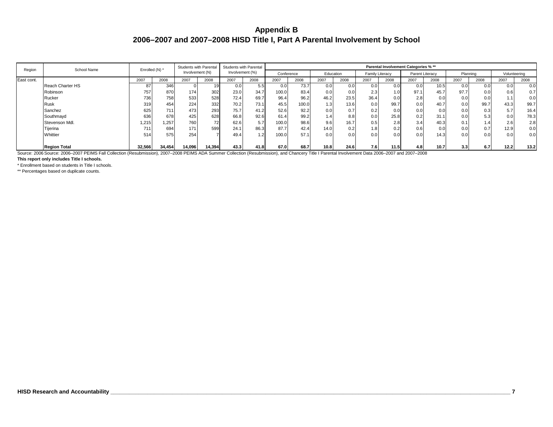| Region     | School Name         | Enrolled (N) * |        | <b>Students with Parental</b> |        | Students with Parental |      |            |       |           |      |                        | Parental Involvement Categories % ** |                  |                 |          |      |              |      |
|------------|---------------------|----------------|--------|-------------------------------|--------|------------------------|------|------------|-------|-----------|------|------------------------|--------------------------------------|------------------|-----------------|----------|------|--------------|------|
|            |                     |                |        | Involvement (N)               |        | Involvement (%)        |      | Conference |       | Education |      | <b>Family Literacy</b> |                                      |                  | Parent Literacy | Planning |      | Volunteering |      |
| East cont. |                     | 2007           | 2008   | 2007                          | 2008   | 2007                   | 2008 | 2007       | 2008  | 2007      | 2008 | 2007                   | 2008                                 | 2007             | 2008            | 2007     | 2008 | 2007         | 2008 |
|            | Reach Charter HS    | 87             | 346    |                               | 19     | 0.0                    | ن.ر  | 0.0        | 73.7  | 0.0       | 0.0  | 0.0                    | 0.0                                  | 0.0              | 10.5            | 0.0      | 0.0  | 0.0          | 0.0  |
|            | Robinson            | 757            | 870    | 174                           | 302    | 23.0                   | 34.7 | 100.0      | 83.4  | 0.0       | 0.01 | 2.3                    | 1.01                                 | 97.1             | 45.7            | 97.7     | 0.0  | 0.6          | 0.7  |
|            | Rucker              | 736            | 758    | 533                           | 528    | 72.4                   | 69.7 | 96.4       | 96.2  | 46.2      | 23.5 | 36.4                   | 0.0                                  | 2.8 <sub>1</sub> | 0.0             | 0.0      | 0.0  |              | 0.0  |
|            | Rusk                | 319            | 454    | 224                           | 332    | 70.2                   | 73.1 | 45.5       | 100.0 | 1.31      | 13.6 | 0.0                    | 99.7                                 | 0.0              | 40.7            | 0.0      | 99.7 | 43.3         | 99.7 |
|            | Sanchez             | 625            | 711    | 473                           | 293    | 75.7                   | 41.2 | 52.6       | 92.2  | 0.0       | 0.7  | 0.2                    | 0.0                                  | 0.0              | 0.0             | 0.0      | 0.3  | 5.7          | 16.4 |
|            | Southmayd           | 636            | 678    | 425                           | 628    | 66.8                   | 92.6 | 61.4       | 99.2  | 1.4       | 8.8  | 0.0                    | 25.8                                 | 0.2              | 31.1            | 0.0      | 5.3  | 0.0          | 78.3 |
|            | Stevenson Mdl.      | 1,215          | 1,257  | 760                           | 72     | 62.6                   | 5.7  | 100.0      | 98.6  | 9.6       | 16.7 | 0.5                    | 2.8                                  | 3.4              | 40.3            | 0.1      | .41  | 2.6          | 2.8  |
|            | Tijerina            | 711            | 694    | 171                           | 599    | 24.1                   | 86.3 | 87.7       | 42.4  | 14.0      | 0.2  | 1.81                   | 0.2                                  | 0.6              | 0.0             | 0.0      | 0.7  | 12.9         | 0.0  |
|            | Whittier            | 514            | 575    | 254                           |        | 49.4                   | 1.2  | 100.0      | 57.1  | 0.0       | 0.01 | 0.0 <sub>l</sub>       | 0.0                                  | 0.0              | 14.3            | 0.0      | 0.0  | 0.0          | 0.0  |
|            | <b>Region Total</b> | 32,566         | 34,454 | 14,096                        | 14,394 | 43.3                   | 41.8 | 67.0       | 68.7  | 10.8      | 24.6 | 7.6                    | 11.5                                 | 4.8              | 10.7            | 3.3      | 6.7  | 12.2         | 13.2 |

Source: 2006 Source: 2006–2007 PEIMS Fall Collection (Resubmission), 2007–2008 PEIMS ADA Summer Collection (Resubmission), and Chancery Title I Parental Involvement Data 2006–2007 and 2007–2008

**This report only includes Title I schools.**

\* Enrollment based on students in Title I schools.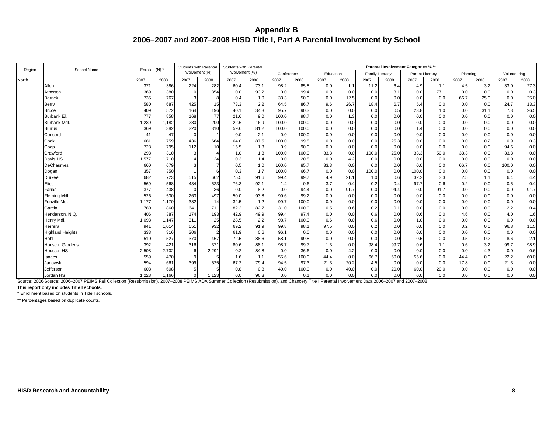| Region       | School Name                                                                                                                                                                                       | Enrolled (N) * |       | <b>Students with Parental</b> |       | <b>Students with Parental</b> |      |            |       |           |      |                        |      | Parental Involvement Categories % ** |                 |      |                 |              |      |
|--------------|---------------------------------------------------------------------------------------------------------------------------------------------------------------------------------------------------|----------------|-------|-------------------------------|-------|-------------------------------|------|------------|-------|-----------|------|------------------------|------|--------------------------------------|-----------------|------|-----------------|--------------|------|
|              |                                                                                                                                                                                                   |                |       | Involvement (N)               |       | Involvement (%)               |      | Conference |       | Education |      | <b>Family Literacy</b> |      | Parent Literacy                      |                 |      | Planning        | Volunteering |      |
| <b>North</b> |                                                                                                                                                                                                   | 2007           | 2008  | 2007                          | 2008  | 2007                          | 2008 | 2007       | 2008  | 2007      | 2008 | 2007                   | 2008 | 2007                                 | 2008            | 2007 | 2008            | 2007         | 2008 |
|              | Allen                                                                                                                                                                                             | 371            | 386   | 224                           | 282   | 60.4                          | 73.1 | 98.2       | 85.8  | 0.0       | 1.1  | 11.2                   | 6.4  | 4.9                                  | 1.1             | 4.5  | 3.2             | 33.0         | 27.3 |
|              | Atherton                                                                                                                                                                                          | 369            | 380   | $\Omega$                      | 354   | 0.0                           | 93.2 | 0.0        | 99.4  | 0.0       | 0.0  | 0.0                    | 3.1  | 0.0                                  | 77.1            | 0.0  | 0.0             | 0.0          | 0.3  |
|              | <b>Barrick</b>                                                                                                                                                                                    | 735            | 767   |                               |       | 0.4                           | 1.0  | 33.3       | 50.0  | 0.0       | 12.5 | 0.0                    | 0.0  | 0.0                                  | 0.0             | 66.7 | 25.0            | 0.0          | 25.0 |
|              | <b>Berry</b>                                                                                                                                                                                      | 580            | 687   | 425                           | 15    | 73.3                          | 2.2  | 64.5       | 86.7  | 9.6       | 26.7 | 18.4                   | 6.7  | 5.4                                  | 0. <sub>C</sub> | 0.0  | 0. <sub>C</sub> | 24.7         | 13.3 |
|              | <b>Bruce</b>                                                                                                                                                                                      | 409            | 572   | 164                           | 196   | 40.1                          | 34.3 | 95.7       | 90.3  | 0.0       | 0.0  | 0.0                    | 0.5  | 23.8                                 | 1.0             | 0.0  | 31.1            | 7.3          | 26.5 |
|              | Burbank El.                                                                                                                                                                                       | 777            | 858   | 168                           | 77    | 21.6                          | 9.0  | 100.0      | 98.7  | 0.0       | 1.3  | 0.0                    | 0.0  | 0.0                                  | 0.0             | 0.0  | 0. <sub>C</sub> | 0.0          | 0.0  |
|              | <b>Burbank Mdl</b>                                                                                                                                                                                | 1,239          | 1,182 | 280                           | 200   | 22.6                          | 16.9 | 100.0      | 100.0 | 0.0       | 0.0  | 0.0                    | 0.0  | 0.0                                  | 0.0             | 0.0  | 0. <sub>C</sub> | 0.0          | 0.0  |
|              | <b>Burrus</b>                                                                                                                                                                                     | 369            | 382   | 220                           | 310   | 59.6                          | 81.2 | 100.0      | 100.0 | 0.0       | 0.0  | 0.0                    | 0.0  | 1.4                                  | 0.0             | 0.0  | 0. <sub>C</sub> | 0.0          | 0.0  |
|              | Concord                                                                                                                                                                                           | 41             | 47    | $\Omega$                      |       | 0.0                           | 2.1  | 0.0        | 100.0 | 0.0       | 0.0  | 0.0                    | 0.0  | 0.0                                  | 0.0             | 0.0  | 0.0             | 0.0          | 0.0  |
|              | Cook                                                                                                                                                                                              | 681            | 759   | 436                           | 664   | 64.0                          | 87.5 | 100.0      | 99.8  | 0.0       | 0.0  | 0.0                    | 25.3 | 0.0                                  | 0.0             | 0.0  | 0.2             | 0.9          | 0.3  |
|              | Coop                                                                                                                                                                                              | 723            | 795   | 112                           | 10    | 15.5                          | 1.3  | 0.9        | 90.0  | 0.0       | 0.0  | 0.0                    | 0.0  | 0.0                                  | 0.0             | 0.0  | 0.0             | 94.6         | 0.0  |
|              | Crawford                                                                                                                                                                                          | 293            | 310   |                               |       | 1.0                           | 1.3  | 100.0      | 100.0 | 33.3      | 0.0  | 100.0                  | 25.0 | 33.3                                 | 50.0            | 33.3 | 0.0             | 33.3         | 0.0  |
|              | Davis HS                                                                                                                                                                                          | 1,577          | 1,710 |                               | 24    | 0.3                           | 1.4  | 0.0        | 20.8  | 0.0       | 4.2  | 0.0                    | 0.0  | 0.0                                  | 0.0             | 0.0  | 0.0             | 0.0          | 0.0  |
|              | <b>DeChaumes</b>                                                                                                                                                                                  | 660            | 679   |                               |       | 0.5                           | 1.0  | 100.0      | 85.7  | 33.3      | 0.0  | 0.0                    | 0.0  | 0.0                                  | 0.0             | 66.7 | 0.0             | 100.0        | 0.0  |
|              | Dogan                                                                                                                                                                                             | 357            | 350   |                               |       | 0.3                           | 1.7  | 100.0      | 66.7  | 0.0       | 0.0  | 100.0                  | 0.0  | 100.0                                | 0.0             | 0.0  | 0. <sub>C</sub> | 0.0          | 0.0  |
|              | <b>Durkee</b>                                                                                                                                                                                     | 682            | 723   | 515                           | 662   | 75.5                          | 91.6 | 99.4       | 99.7  | 4.9       | 21.1 | 1.0                    | 0.6  | 32.2                                 | 3.3             | 2.5  | 1.1             | 6.4          | 4.4  |
|              | Eliot                                                                                                                                                                                             | 569            | 568   | 434                           | 523   | 76.3                          | 92.1 | 1.4        | 0.6   | 3.7       | 0.4  | 0.2                    | 0.4  | 97.7                                 | 0.6             | 0.2  | 0.0             | 0.5          | 0.4  |
|              | Farias                                                                                                                                                                                            | 377            | 438   |                               | 36    | 0.0                           | 8.2  | 0.0        | 94.4  | 0.0       | 91.7 | 0.0                    | 94.4 | 0.0                                  | 91.7            | 0.0  | 0.0             | 0.0          | 91.7 |
|              | Fleming Mdl.                                                                                                                                                                                      | 526            | 530   | 263                           | 497   | 50.0                          | 93.8 | 99.6       | 99.2  | 0.0       | 0.0  | 0.0                    | 0.0  | 0.0                                  | 0.0             | 0.0  | 0.0             | 0.0          | 0.0  |
|              | Fonville Mdl.                                                                                                                                                                                     | 1,177          | 1,170 | 382                           | 14    | 32.5                          | 1.2  | 99.7       | 100.0 | 0.0       | 0.0  | 0.0                    | 0.0  | 0.0                                  | 0.0             | 0.0  | 0.0             | 0.0          | 0.0  |
|              | Garcia                                                                                                                                                                                            | 780            | 860   | 641                           | 711   | 82.2                          | 82.7 | 31.0       | 100.0 | 0.5       | 0.6  | 0.2                    | 0.1  | 0.0                                  | 0.0             | 0.0  | 0.0             | 2.2          | 0.4  |
|              | Henderson, N.Q.                                                                                                                                                                                   | 406            | 387   | 174                           | 193   | 42.9                          | 49.9 | 99.4       | 97.4  | 0.0       | 0.0  | 0.6                    | 0.0  | 0.6                                  | 0.0             | 4.6  | 0.0             | 4.0          | 1.6  |
|              | Henry Mdl.                                                                                                                                                                                        | 1,093          | 1,147 | 311                           | 25    | 28.5                          | 2.2  | 98.7       | 100.0 | 0.6       | 0.0  | 0.6                    | 0.0  | 1.0                                  | 0.0             | 0.0  | 0.0             | 0.0          | 0.0  |
|              | Herrera                                                                                                                                                                                           | 941            | 1,014 | 651                           | 932   | 69.2                          | 91.9 | 99.8       | 98.1  | 97.5      | 0.0  | 0.2                    | 0.0  | 0.0                                  | 0.0             | 0.2  | 0. <sub>C</sub> | 96.8         | 11.5 |
|              | <b>Highland Heights</b>                                                                                                                                                                           | 333            | 316   | 206                           |       | 61.9                          | 0.6  | 96.1       | 0.0   | 0.0       | 0.0  | 0.0                    | 0.0  | 0.0                                  | 0.0             | 0.0  | 0. <sub>C</sub> | 0.0          | 0.0  |
|              | Hohl                                                                                                                                                                                              | 510            | 527   | 370                           | 467   | 72.5                          | 88.6 | 58.1       | 99.8  | 0.0       | 0.0  | 0.3                    | 0.0  | 0.5                                  | 0. <sub>C</sub> | 0.5  | 0.2             | 8.6          | 2.1  |
|              | <b>Houston Gardens</b>                                                                                                                                                                            | 392            | 421   | 316                           | 371   | 80.6                          | 88.1 | 98.7       | 99.7  | 1.3       | 0.0  | 98.4                   | 99.7 | 0.6                                  | 1.1             | 0.6  | 3.2             | 99.7         | 98.9 |
|              | Houston HS                                                                                                                                                                                        | 2,508          | 2,702 |                               | 2,291 | 0.2                           | 84.8 | 0.0        | 36.6  | 0.0       | 4.2  | 0.0                    | 0.0  | 0.0                                  | 0.0             | 0.0  | 4.3             | 0.0          | 0.6  |
|              | Isaacs                                                                                                                                                                                            | 559            | 470   |                               |       | 1.6                           | 1.1  | 55.6       | 100.0 | 44.4      | 0.0  | 66.7                   | 60.0 | 55.6                                 | 0.0             | 44.4 | 0. <sub>C</sub> | 22.2         | 60.0 |
|              | Janowski                                                                                                                                                                                          | 594            | 661   | 399                           | 525   | 67.2                          | 79.4 | 94.5       | 97.3  | 21.3      | 20.2 | 4.5                    | 0.0  | 0.0                                  | 0.0             | 17.8 | 0. <sub>C</sub> | 21.3         | 0.0  |
|              | Jefferson                                                                                                                                                                                         | 603            | 608   |                               |       | 0.8                           | 0.8  | 40.0       | 100.0 | 0.0       | 40.0 | 0.0                    | 20.0 | 60.0                                 | 20.0            | 0.0  | 0.0             | 0.0          | 0.0  |
|              | Jordan HS                                                                                                                                                                                         | 1.228          | 1.166 |                               | 1.123 | 0.0                           | 96.3 | 0.0        | 0.1   | 0.0       | 0.0  | 0.0                    | 0.0  | 0.0                                  | 0.0             | 0.0  | 0.0             | 0.0          | 0.0  |
|              | Source: 2006 Source: 2006-2007 PEIMS Fall Collection (Resubmission), 2007-2008 PEIMS ADA Summer Collection (Resubmission), and Chancery Title I Parental Involvement Data 2006-2007 and 2007-2008 |                |       |                               |       |                               |      |            |       |           |      |                        |      |                                      |                 |      |                 |              |      |

**This report only includes Title I schools.**

\* Enrollment based on students in Title I schools.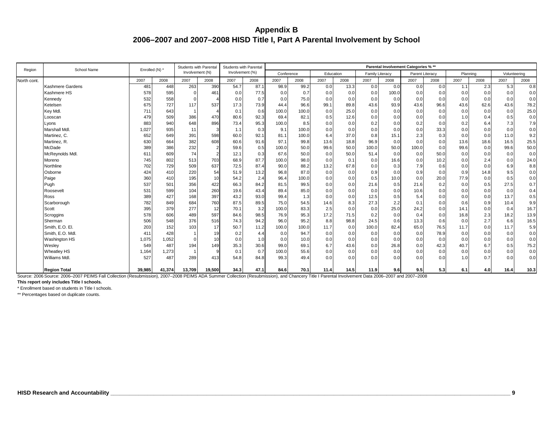| Region      | School Name          | Enrolled (N) * |        | Students with Parental |        | Students with Parental |      |            |       |      |           |                        |       | Parental Involvement Categories % ** |      |          |                 |              |      |
|-------------|----------------------|----------------|--------|------------------------|--------|------------------------|------|------------|-------|------|-----------|------------------------|-------|--------------------------------------|------|----------|-----------------|--------------|------|
|             |                      |                |        | Involvement (N)        |        | Involvement (%)        |      | Conference |       |      | Education | <b>Family Literacy</b> |       | Parent Literacy                      |      | Planning |                 | Volunteering |      |
| North cont. |                      | 2007           | 2008   | 2007                   | 2008   | 2007                   | 2008 | 2007       | 2008  | 2007 | 2008      | 2007                   | 2008  | 2007                                 | 2008 | 2007     | 2008            | 2007         | 2008 |
|             | Kashmere Gardens     | 481            | 448    | 263                    | 390    | 54.7                   | 87.1 | 98.9       | 99.2  | 0.0  | 13.3      | 0.0                    | 0.0   | 0.0                                  | 0.0  | 1.1      | 2.3             | 5.3          | 0.8  |
|             | Kashmere HS          | 578            | 595    | $\mathbf 0$            | 461    | 0.0                    | 77.5 | 0.0        | 0.7   | 0.0  | 0.0       | 0.0                    | 100.0 | 0.0                                  | 0.0  | 0.0      | 0. <sub>C</sub> | 0.0          | 0.0  |
|             | Kennedy              | 532            | 558    |                        |        | 0.0                    | 0.7  | 0.0        | 75.0  | 0.0  | 0.0       | 0.0                    | 0.0   | 0.0                                  | 0.0  | 0.0      | 0.0             | 0.0          | 0.0  |
|             | Ketelsen             | 675            | 727    | 117                    | 537    | 17.3                   | 73.9 | 44.4       | 96.6  | 99.1 | 89.8      | 43.6                   | 93.9  | 43.6                                 | 96.6 | 43.6     | 62.6            | 43.6         | 78.2 |
|             | Key Mdl.             | 711            | 643    | $\overline{1}$         |        | 0.1                    | 0.6  | 100.0      | 100.0 | 0.0  | 25.0      | 0.0                    | 0.0   | 0.0                                  | 0.0  | 0.0      | 0.0             | 0.0          | 25.0 |
|             | Looscan              | 479            | 509    | 386                    | 470    | 80.6                   | 92.3 | 69.4       | 82.1  | 0.5  | 12.6      | 0.0                    | 0.0   | 0.0                                  | 0.0  | 1.0      | 0.4             | 0.5          | 0.0  |
|             | Lyons                | 883            | 940    | 648                    | 896    | 73.4                   | 95.3 | 100.0      | 8.5   | 0.0  | 0.0       | 0.2                    | 0.0   | 0.2                                  | 0.0  | 0.2      | 6.4             | 7.3          | 7.9  |
|             | Marshall Mdl.        | 1,027          | 935    | 11                     |        | 1.1                    | 0.3  | 9.1        | 100.0 | 0.0  | 0.0       | 0.0                    | 0.0   | 0.0                                  | 33.3 | 0.0      | 0.0             | 0.0          | 0.0  |
|             | Martinez, C.         | 652            | 649    | 391                    | 598    | 60.0                   | 92.1 | 81.1       | 100.0 | 6.4  | 37.0      | 0.8                    | 15.1  | 2.3                                  | 0.3  | 0.0      | 0.0             | 11.0         | 9.2  |
|             | Martinez, R.         | 630            | 664    | 382                    | 608    | 60.6                   | 91.6 | 97.1       | 99.8  | 13.6 | 18.8      | 96.9                   | 0.0   | 0.0                                  | 0.0  | 13.6     | 18.6            | 16.5         | 25.5 |
|             | McDade               | 389            | 386    | 232                    |        | 59.6                   | 0.5  | 100.0      | 50.0  | 99.6 | 50.0      | 100.0                  | 50.0  | 100.0                                | 0.0  | 99.6     | 0.0             | 99.6         | 50.0 |
|             | McReynolds Mdl.      | 611            | 609    | 74                     |        | 12.1                   | 0.3  | 67.6       | 50.0  | 0.0  | 50.0      | 51.4                   | 0.0   | 0.0                                  | 50.0 | 0.0      | 0.0             | 0.0          | 0.0  |
|             | Moreno               | 745            | 802    | 513                    | 703    | 68.9                   | 87.7 | 100.0      | 98.0  | 0.0  | 0.1       | 0.0                    | 16.6  | 0.0                                  | 10.2 | 0.0      | 2.4             | 0.0          | 24.0 |
|             | Northline            | 702            | 729    | 509                    | 637    | 72.5                   | 87.4 | 90.0       | 88.2  | 13.2 | 67.8      | 0.0                    | 0.3   | 7.9                                  | 0.6  | 0.0      | 0.0             | 6.9          | 8.8  |
|             | Osborne              | 424            | 410    | 220                    | 54     | 51.9                   | 13.2 | 96.8       | 87.0  | 0.0  | 0.0       | 0.9                    | 0.0   | 0.9                                  | 0.0  | 0.9      | 14.8            | 9.5          | 0.0  |
|             | Paige                | 360            | 410    | 195                    | 10     | 54.2                   | 2.4  | 96.4       | 100.0 | 0.0  | 0.0       | 0.5                    | 10.0  | 0.0                                  | 20.0 | 77.9     | 0.0             | 0.5          | 0.0  |
|             | Pugh                 | 537            | 501    | 356                    | 422    | 66.3                   | 84.2 | 81.5       | 99.5  | 0.0  | 0.0       | 21.6                   | 0.5   | 21.6                                 | 0.2  | 0.0      | 0.5             | 27.5         | 0.7  |
|             | Roosevelt            | 531            | 599    | 104                    | 260    | 19.6                   | 43.4 | 89.4       | 85.0  | 0.0  | 0.0       | 0.0                    | 0.0   | 10.6                                 | 0.0  | 0.0      | 0.0             | 0.0          | 0.4  |
|             | Ross                 | 389            | 427    | 168                    | 397    | 43.2                   | 93.0 | 99.4       | 1.3   | 0.0  | 0.0       | 12.5                   | 0.5   | 5.4                                  | 0.0  | 0.0      | 0.0             | 13.7         | 0.5  |
|             | Scarborough          | 782            | 849    | 684                    | 760    | 87.5                   | 89.5 | 75.0       | 54.5  | 14.6 | 8.3       | 27.3                   | 2.2   | 0.1                                  | 0.0  | 0.6      | 0.9             | 10.4         | 9.9  |
|             | Scott                | 395            | 379    | 277                    | 12     | 70.1                   | 3.2  | 100.0      | 83.3  | 2.5  | 0.0       | 0.0                    | 25.0  | 24.2                                 | 0.0  | 14.1     | 0.0             | 0.4          | 16.7 |
|             | Scroggins            | 578            | 606    | 489                    | 597    | 84.6                   | 98.5 | 76.9       | 95.3  | 17.2 | 71.5      | 0.2                    | 0.0   | 0.4                                  | 0.0  | 16.8     | 2.3             | 18.2         | 13.9 |
|             | Sherman              | 506            | 548    | 376                    | 516    | 74.3                   | 94.2 | 96.0       | 95.2  | 8.8  | 98.8      | 24.5                   | 0.6   | 13.3                                 | 0.6  | 0.0      | 2.7             | 6.6          | 16.5 |
|             | Smith, E.O. El.      | 203            | 152    | 103                    | 17     | 50.7                   | 11.2 | 100.0      | 100.0 | 11.7 | 0.0       | 100.0                  | 82.4  | 65.0                                 | 76.5 | 11.7     | 0.0             | 11.7         | 5.9  |
|             | Smith, E.O. Mdl.     | 411            | 428    |                        | 19     | 0.2                    | 4.4  | 0.0        | 94.7  | 0.0  | 0.0       | 0.0                    | 0.0   | 0.0                                  | 78.9 | 0.0      | 0.0             | 0.0          | 0.0  |
|             | <b>Washington HS</b> | 1,075          | 1,052  | $\Omega$               | 10     | 0.0                    | 1.0  | 0.0        | 10.0  | 0.0  | 0.0       | 0.0                    | 0.0   | 0.0                                  | 0.0  | 0.0      | 0.0             | 0.0          | 0.0  |
|             | Wesley               | 549            | 487    | 194                    | 149    | 35.3                   | 30.6 | 99.0       | 69.1  | 6.7  | 43.6      | 0.0                    | 26.8  | 0.0                                  | 42.3 | 40.7     | 6.7             | 0.5          | 75.2 |
|             | <b>Wheatley HS</b>   | 1,164          | 1,273  |                        | q      | 0.1                    | 0.7  | 100.0      | 55.6  | 0.0  | 0.0       | 0.0                    | 0.0   | 0.0                                  | 0.0  | 0.0      | 0.0             | 0.0          | 0.0  |
|             | Williams Mdl.        | 527            | 487    | 289                    | 413    | 54.8                   | 84.8 | 99.3       | 49.4  | 0.0  | 0.0       | 0.0                    | 0.0   | 0.0                                  | 0.0  | 1.0      | 0.7             | 0.0          | 0.0  |
|             | <b>Region Total</b>  | 39,985         | 41,374 | 13,709                 | 19,500 | 34.3                   | 47.1 | 84.6       | 70.1  | 11.4 | 14.5      | 11.9                   | 9.6   | 9.5                                  | 5.3  | 6.1      | 4.0             | 16.4         | 10.3 |

Source: 2006 Source: 2006–2007 PEIMS Fall Collection (Resubmission), 2007–2008 PEIMS ADA Summer Collection (Resubmission), and Chancery Title I Parental Involvement Data 2006–2007 and 2007–2008

**This report only includes Title I schools.**

\* Enrollment based on students in Title I schools.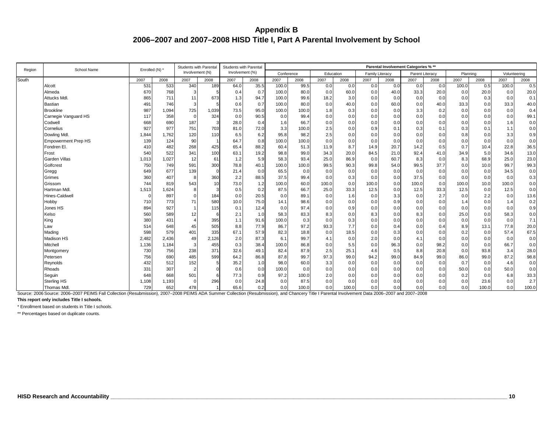| Region | School Name                | Enrolled (N) * |       | <b>Students with Parental</b> |       | Students with Parental |                 |            |       |           |       |                        |      | Parental Involvement Categories % ** |      |          |       |              |       |
|--------|----------------------------|----------------|-------|-------------------------------|-------|------------------------|-----------------|------------|-------|-----------|-------|------------------------|------|--------------------------------------|------|----------|-------|--------------|-------|
|        |                            |                |       | Involvement (N)               |       | Involvement (%)        |                 | Conference |       | Education |       | <b>Family Literacy</b> |      | Parent Literacy                      |      | Planning |       | Volunteering |       |
| South  |                            | 2007           | 2008  | 2007                          | 2008  | 2007                   | 2008            | 2007       | 2008  | 2007      | 2008  | 2007                   | 2008 | 2007                                 | 2008 | 2007     | 2008  | 2007         | 2008  |
|        | Alcott                     | 531            | 533   | 340                           | 189   | 64.0                   | 35.5            | 100.0      | 99.5  | 0.0       | 0.0   | 0.0                    | 0.0  | 0.0                                  | 0.0  | 100.0    | 0.5   | 100.0        | 0.5   |
|        | Almeda                     | 670            | 768   | 3                             |       | 0.4                    | 0.7             | 100.0      | 80.0  | 0.0       | 60.0  | 0.0                    | 40.0 | 33.3                                 | 20.0 | 0.0      | 20.0  | 0.0          | 20.0  |
|        | <b>Attucks Mdl</b>         | 865            | 711   | 11                            | 673   | 1.3                    | 94.7            | 100.0      | 99.6  | 18.2      | 3.0   | 0.0                    | 0.0  | 0.0                                  | 0.0  | 0.0      | 0.3   | 0.0          | 0.1   |
|        | <b>Bastian</b>             | 491            | 746   | 3                             |       | 0.6                    | 0.7             | 100.0      | 80.0  | 0.0       | 40.0  | 0.0                    | 60.0 | 0.0                                  | 40.0 | 33.3     | 0.0   | 33.3         | 40.0  |
|        | <b>Brookline</b>           | 987            | 1,094 | 725                           | 1,039 | 73.5                   | 95.0            | 100.0      | 100.0 | 1.8       | 0.3   | 0.0                    | 0.0  | 3.3                                  | 0.2  | 0.0      | 0.0   | 0.0          | 0.4   |
|        | Carnegie Vanguard HS       | 117            | 358   | $\Omega$                      | 324   | 0.0                    | 90.5            | 0.0        | 99.4  | 0.0       | 0.0   | 0.0                    | 0.0  | 0.0                                  | 0.0  | 0.0      | 0.0   | 0.0          | 99.1  |
|        | Codwell                    | 668            | 690   | 187                           |       | 28.0                   | 0.4             | 1.6        | 66.7  | 0.0       | 0.0   | 0.0                    | 0.0  | 0.0                                  | 0.0  | 0.0      | 0.0   | 1.6          | 0.0   |
|        | Cornelius                  | 927            | 977   | 751                           | 703   | 81.0                   | 72.0            | 3.3        | 100.0 | 2.5       | 0.0   | 0.9                    | 0.1  | 0.3                                  | 0.1  | 0.3      | 0.1   | 1.1          | 0.0   |
|        | Dowling Mdl.               | 1.844          | 1,762 | 120                           | 110   | 6.5                    | 6.2             | 95.8       | 98.2  | 2.5       | 0.0   | 0.0                    | 0.0  | 0.0                                  | 0.0  | 0.8      | 0.0   | 3.3          | 0.9   |
|        | <b>Empowerment Prep HS</b> | 139            | 124   | 90                            |       | 64.7                   | 0.8             | 100.0      | 100.0 | 0.0       | 0.0   | 0.0                    | 0.0  | 0.0                                  | 0.0  | 0.0      | 0.0   | 0.0          | 0.0   |
|        | Fondren El                 | 410            | 482   | 268                           | 425   | 65.4                   | 88.2            | 60.4       | 51.3  | 11.9      | 8.7   | 14.9                   | 20.7 | 14.2                                 | 0.5  | 0.7      | 10.4  | 22.8         | 36.5  |
|        | Frost                      | 540            | 522   | 341                           | 100   | 63.1                   | 19.2            | 98.8       | 99.0  | 34.3      | 20.0  | 84.5                   | 21.0 | 92.4                                 | 41.0 | 34.9     | 5.0   | 34.6         | 13.0  |
|        | <b>Garden Villas</b>       | 1,013          | 1,027 | 12                            | 61    | 1.2                    | 5.9             | 58.3       | 93.4  | 25.0      | 86.9  | 0.0                    | 60.7 | 8.3                                  | 0.0  | 8.3      | 68.9  | 25.0         | 23.0  |
|        | Golfcrest                  | <b>750</b>     | 749   | 591                           | 300   | 78.8                   | 40.1            | 100.0      | 100.0 | 99.5      | 90.3  | 99.8                   | 54.0 | 99.5                                 | 37.7 | 0.0      | 10.0  | 99.7         | 99.3  |
|        | Gregg                      | 649            | 677   | 139                           |       | 21.4                   | 0. <sub>C</sub> | 65.5       | 0.0   | 0.0       | 0.0   | 0.0                    | 0.0  | 0.0                                  | 0.0  | 0.0      | 0.0   | 34.5         | 0.0   |
|        | Grimes                     | <b>360</b>     | 407   | -8                            | 360   | 2.2                    | 88.5            | 37.5       | 99.4  | 0.0       | 0.3   | 0.0                    | 0.0  | 37.5                                 | 0.0  | 0.0      | 0.0   | 0.0          | 0.3   |
|        | Grissom                    | 744            | 819   | 543                           | 10    | 73.0                   | 1.2             | 100.0      | 60.0  | 100.0     | 0.0   | 100.0                  | 0.0  | 100.0                                | 0.0  | 100.0    | 10.0  | 100.0        | 0.0   |
|        | Hartman Mdl.               | 1,513          | 1,624 | 8                             |       | 0.5                    | 0.2             | 87.5       | 66.7  | 25.0      | 33.3  | 12.5                   | 0.0  | 12.5                                 | 33.3 | 12.5     | 0.0   | 12.5         | 0.0   |
|        | <b>Hines-Caldwell</b>      |                | 897   |                               | 184   | 0.0                    | 20.5            | 0.0        | 89.1  | 0.0       | 1.6   | 0.0                    | 3.3  | 0.0                                  | 2.7  | 0.0      | 2.2   | 0.0          | 13.6  |
|        | Hobby                      | <b>710</b>     | 773   | 71                            | 580   | 10.0                   | 75.0            | 14.1       | 98.6  | 0.0       | 0.0   | 0.0                    | 0.9  | 0.0                                  | 0.0  | 1.4      | 0.0   | 1.4          | 0.2   |
|        | Jones HS                   | 894            | 927   |                               | 115   | 0.1                    | 12.4            | 0.0        | 97.4  | 0.0       | 0.9   | 0.0                    | 0.0  | 0.0                                  | 0.0  | 0.0      | 0.0   | 0.0          | 0.9   |
|        | Kelso                      | 560            | 589   | 12                            |       | 2.1                    | 1.0             | 58.3       | 83.3  | 8.3       | 0.0   | 8.3                    | 0.0  | 8.3                                  | 0.0  | 25.0     | 0.0   | 58.3         | 0.0   |
|        | King                       | 380            | 431   | $\Delta$                      | 395   | 1.1                    | 91.6            | 100.0      | 0.3   | 0.0       | 0.3   | 0.0                    | 0.0  | 0.0                                  | 0.0  | 0.0      | 0.0   | 0.0          | 7.1   |
|        | Law                        | 514            | 648   | 45                            | 505   | 8.8                    | 77.9            | 86.7       | 97.2  | 93.3      | 7.7   | 0.0                    | 0.4  | 0.0                                  | 0.4  | 8.9      | 13.1  | 77.8         | 20.0  |
|        | Mading                     | 598            | 579   | 401                           | 335   | 67.1                   | 57.9            | 82.3       | 18.8  | 0.0       | 18.5  | 0.0                    | 0.3  | 0.0                                  | 0.0  | 0.2      | 0.0   | 57.4         | 67.5  |
|        | <b>Madison HS</b>          | 2,482          | 2,436 | 49                            | 2,126 | 2.0                    | 87.3            | 6.1        | 99.7  | 4.1       | 0.0   | 2.0                    | 0.0  | 4.1                                  | 0.0  | 0.0      | 0.0   | 0.0          | 0.0   |
|        | Mitchell                   | 1,136          | 1,184 | 3                             | 455   | 0.3                    | 38.4            | 100.0      | 86.8  | 0.0       | 5.5   | 0.0                    | 96.3 | 0.0                                  | 98.2 | 0.0      | 0.0   | 66.7         | 0.0   |
|        | Montgomery                 | 730            | 756   | 238                           | 371   | 32.6                   | 49.1            | 82.4       | 87.9  | 2.5       | 25.1  | 4.6                    | 0.5  | 8.8                                  | 20.8 | 0.0      | 93.8  | 3.4          | 28.0  |
|        | Petersen                   | 756            | 690   | 485                           | 599   | 64.2                   | 86.8            | 87.8       | 99.7  | 97.3      | 99.0  | 94.2                   | 99.0 | 84.9                                 | 99.0 | 86.0     | 99.0  | 87.2         | 98.8  |
|        | Reynolds                   | 432            | 512   | 152                           |       | 35.2                   | 1.0             | 98.0       | 60.0  | 3.3       | 0.0   | 0.0                    | 0.0  | 0.0                                  | 0.0  | 0.7      | 0.0   | 4.6          | 0.0   |
|        | Rhoads                     | 331            | 307   | $\overline{2}$                |       | 0.6                    | 0. <sub>C</sub> | 100.0      | 0.0   | 0.0       | 0.0   | 0.0                    | 0.0  | 0.0                                  | 0.0  | 50.0     | 0.0   | 50.0         | 0.0   |
|        | Seguin                     | 648            | 668   | 501                           |       | 77.3                   | 0.9             | 97.2       | 100.0 | 2.0       | 0.0   | 0.0                    | 0.0  | 0.0                                  | 0.0  | 0.2      | 0.0   | 6.8          | 33.3  |
|        | <b>Sterling HS</b>         | 1,108          | 1,193 | $\Omega$                      | 296   | 0.0                    | 24.8            | 0.0        | 87.5  | 0.0       | 0.0   | 0.0                    | 0.0  | 0.0                                  | 0.0  | 0.0      | 23.6  | 0.0          | 2.7   |
|        | <b>Thomas Mdl</b>          | 729            | 652   | 478                           |       | 65.6                   | 0.2             | 0.0        | 100.0 | 0.0       | 100.0 | 0.0                    | 0.0  | 0.0                                  | 0.0  | 0.0      | 100.0 | 0.0          | 100.0 |

Source: 2006 Source: 2006–2007 PEIMS Fall Collection (Resubmission), 2007–2008 PEIMS ADA Summer Collection (Resubmission), and Chancery Title I Parental Involvement Data 2006–2007 and 2007–2008

**This report only includes Title I schools.**

\* Enrollment based on students in Title I schools.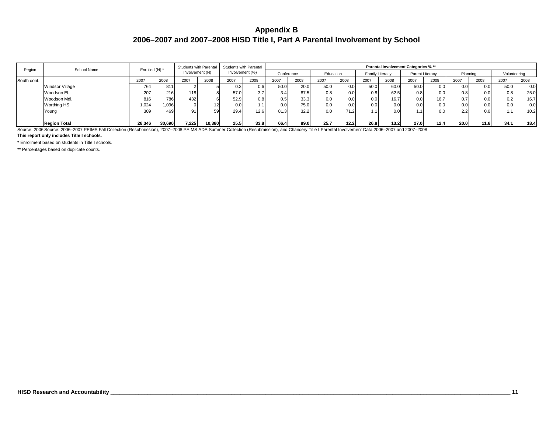| Region      | School Name                                                                                                                                                                                       | Enrolled (N) * |        |                 |        | Students with Parental Students with Parental |      |            |      |                  |           |                 |      | Parental Involvement Categories % ** |                 |      |          |              |      |
|-------------|---------------------------------------------------------------------------------------------------------------------------------------------------------------------------------------------------|----------------|--------|-----------------|--------|-----------------------------------------------|------|------------|------|------------------|-----------|-----------------|------|--------------------------------------|-----------------|------|----------|--------------|------|
|             |                                                                                                                                                                                                   |                |        | Involvement (N) |        | Involvement (%)                               |      | Conference |      |                  | Education | Family Literacy |      |                                      | Parent Literacy |      | Planning | Volunteering |      |
| South cont. |                                                                                                                                                                                                   | 2007           | 2008   | 2007            | 2008   | 2007                                          | 2008 | 2007       | 2008 | 2007             | 2008      | 2007            | 2008 | 2007                                 | 2008            | 2007 | 2008     | 2007         | 2008 |
|             | Windsor Village                                                                                                                                                                                   | 764            | 811    |                 |        | 0.3                                           | 0.61 | 50.0       | 20.0 | 50.0             | 0.0       | 50.0            | 60.0 | 50.0                                 | 0.0             | 0.0  | 0.0      | 50.0         | 0.0  |
|             | Woodson El.                                                                                                                                                                                       | 207            | 216    | 118             |        | 57.0                                          | 3.7  | 3.4        | 87.5 | 0.8 <sub>1</sub> | 0.0       | 0.8             | 62.5 | 0.8                                  | 0.0             | 0.8  | 0.0      | 0.8          | 25.0 |
|             | Woodson Mdl.                                                                                                                                                                                      | 816            | 786    | 432             |        | 52.9                                          | 0.8  | 0.5        | 33.3 | 0.0              | 0.0       | 0.0             | 16.7 | 0.0                                  | 16.7            | 0.7  | 0.0      | 0.2          | 16.7 |
|             | <b>Worthing HS</b>                                                                                                                                                                                | 1.024          | 1,096  |                 | 12     | 0.0                                           | 1.1  | 0.0        | 75.0 | 0.0              | 0.0       | 0.0             | 0.0  | 0.0                                  | 0.0             | 0.0  | 0.0      | 0.0          | 0.0  |
|             | Young                                                                                                                                                                                             | 309            | 469    | 91              | 59     | 29.4                                          | 12.6 | 81.3       | 32.2 | 0.0              | 71.2      |                 | 0.0  | 1.1                                  | 0.0             | 2.2  | 0.0      |              | 10.2 |
|             |                                                                                                                                                                                                   |                |        |                 |        |                                               |      |            |      |                  |           |                 |      |                                      |                 |      |          |              |      |
|             | <b>Region Total</b>                                                                                                                                                                               | 28,346         | 30.690 | 7.225           | 10,380 | 25.5                                          | 33.8 | 66.4       | 89.0 | 25.7             | 12.2      | 26.8            | 13.2 | 27.0                                 | 12.4            | 20.0 | 11.6     | 34.1         | 18.4 |
|             | Source: 2006 Source: 2006-2007 PEIMS Fall Collection (Resubmission), 2007-2008 PEIMS ADA Summer Collection (Resubmission), and Chancery Title I Parental Involvement Data 2006-2007 and 2007-2008 |                |        |                 |        |                                               |      |            |      |                  |           |                 |      |                                      |                 |      |          |              |      |

**This report only includes Title I schools.**

\* Enrollment based on students in Title I schools.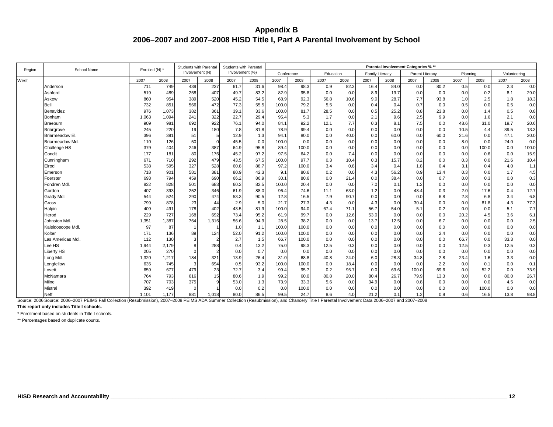| Region | School Name       | Enrolled (N) * |       | <b>Students with Parental</b> |       | <b>Students with Parental</b> |                 |            |                 |           |      |                        |      | Parental Involvement Categories % ** |      |          |                 |              |       |
|--------|-------------------|----------------|-------|-------------------------------|-------|-------------------------------|-----------------|------------|-----------------|-----------|------|------------------------|------|--------------------------------------|------|----------|-----------------|--------------|-------|
|        |                   |                |       | Involvement (N)               |       | Involvement (%)               |                 | Conference |                 | Education |      | <b>Family Literacy</b> |      | Parent Literacy                      |      | Planning |                 | Volunteering |       |
| West   |                   | 2007           | 2008  | 2007                          | 2008  | 2007                          | 2008            | 2007       | 2008            | 2007      | 2008 | 2007                   | 2008 | 2007                                 | 2008 | 2007     | 2008            | 2007         | 2008  |
|        | Anderson          | 711            | 749   | 439                           | 237   | 61.7                          | 31.6            | 98.4       | 98.3            | 0.9       | 82.3 | 16.4                   | 84.0 | 0.0                                  | 80.2 | 0.5      | 0.0             | 2.3          | 0.0   |
|        | Ashford           | 519            | 489   | 258                           | 407   | 49.7                          | 83.2            | 82.9       | 95.8            | 0.0       | 0.0  | 8.9                    | 19.7 | 0.0                                  | 0.0  | 0.0      | 0.2             | 8.1          | 29.0  |
|        | Askew             | 860            | 954   | 389                           | 520   | 45.2                          | 54.5            | 68.9       | 92.3            | 56.8      | 10.6 | 9.0                    | 28.7 | 7.7                                  | 93.8 | 1.0      | 2.5             | 1.8          | 18.3  |
|        | <b>Bell</b>       | 732            | 851   | 566                           | 472   | 77.3                          | 55.5            | 100.0      | 79.2            | 5.5       | 0.0  | 0.4                    | 0.4  | 0.7                                  | 0.0  | 0.5      | 0.0             | 0.5          | 0.0   |
|        | Benavidez         | 976            | 1,073 | 382                           | 361   | 39.1                          | 33.6            | 100.0      | 81.7            | 28.5      | 0.0  | 0.5                    | 25.2 | 0.8                                  | 23.8 | 0.0      | 1.4             | 0.5          | 0.8   |
|        | Bonham            | 1,063          | 1,094 | 241                           | 322   | 22.7                          | 29.4            | 95.4       | 5.3             | 1.7       | 0.0  | 2.1                    | 9.6  | 2.5                                  | 9.9  | 0.0      | 1.6             | 2.1          | 0.0   |
|        | <b>Braeburn</b>   | 909            | 981   | 692                           | 922   | 76.1                          | 94.0            | 84.1       | 92.2            | 12.1      | 7.7  | 0.3                    | 8.1  | 7.5                                  | 0.0  | 48.6     | 31.0            | 19.7         | 20.6  |
|        | <b>Briargrove</b> | 245            | 220   | 19                            | 180   | 7.8                           | 81.8            | 78.9       | 99.4            | 0.0       | 0.0  | 0.0                    | 0.0  | 0.0                                  | 0.0  | 10.5     | 4.4             | 89.5         | 13.3  |
|        | Briarmeadow El.   | 396            | 391   | 51                            |       | 12.9                          | 1.3             | 94.1       | 80.0            | 0.0       | 40.0 | 0.0                    | 60.0 | 0.0                                  | 60.0 | 21.6     | 0. <sub>C</sub> | 47.1         | 20.0  |
|        | Briarmeadow Mdl.  | 110            | 126   | 50                            |       | 45.5                          | 0. <sub>C</sub> | 100.0      | 0. <sub>C</sub> | 0.0       | 0.0  | 0.0                    | 0.0  | 0.0                                  | 0.0  | 8.0      | 0.0             | 24.0         | 0.0   |
|        | Challenge HS      | 379            | 404   | 246                           | 387   | 64.9                          | 95.8            | 89.4       | 100.0           | 0.0       | 0.0  | 0.0                    | 0.0  | 0.0                                  | 0.0  | 0.0      | 100.0           | 0.0          | 100.0 |
|        | Condit            | 177            | 181   | 80                            | 176   | 45.2                          | 97.2            | 97.5       | 64.2            | 0.0       | 7.4  | 0.0                    | 0.0  | 0.0                                  | 0.0  | 0.0      | 0.6             | 0.0          | 15.9  |
|        | Cunningham        | 671            | 710   | 292                           | 479   | 43.5                          | 67.5            | 100.0      | 97.7            | 0.3       | 10.4 | 0.3                    | 15.7 | 8.2                                  | 0.0  | 0.3      | 0.0             | 21.6         | 10.4  |
|        | Elrod             | 538            | 595   | 327                           | 528   | 60.8                          | 88.7            | 97.2       | 100.0           | 3.4       | 0.8  | 3.4                    | 0.4  | 1.8                                  | 0.4  | 3.1      | 0.4             | 4.0          | 1.1   |
|        | Emerson           | 718            | 901   | 581                           | 381   | 80.9                          | 42.3            | 9.1        | 80.6            | 0.2       | 0.0  | 4.3                    | 56.2 | 0.9                                  | 13.4 | 0.3      | 0.0             | 1.7          | 4.5   |
|        | Foerster          | 693            | 794   | 459                           | 690   | 66.2                          | 86.9            | 30.1       | 80.6            | 0.0       | 21.4 | 0.0                    | 38.4 | 0.0                                  | 0.7  | 0.0      | 0.3             | 0.0          | 0.3   |
|        | Fondren Mdl.      | 832            | 828   | 501                           | 683   | 60.2                          | 82.5            | 100.0      | 20.4            | 0.0       | 0.0  | 7.0                    | 0.1  | 1.2                                  | 0.0  | 0.0      | 0.0             | 0.0          | 0.0   |
|        | Gordon            | 407            | 393   | 252                           | 346   | 61.9                          | 88.0            | 96.4       | 74.6            | 11.1      | 63.0 | 1.2                    | 0.0  | 48.4                                 | 0.3  | 2.0      | 17.6            | 0.4          | 12.7  |
|        | <b>Grady Mdl</b>  | 544            | 524   | 290                           | 474   | 53.3                          | 90.5            | 12.8       | 16.5            | 7.9       | 90.7 | 0.0                    | 0.0  | 0.0                                  | 6.8  | 2.8      | 6.8             | 3.4          | 6.8   |
|        | Gross             | 799            | 878   | 23                            | 44    | 2.9                           | 5. <sub>C</sub> | 21.7       | 27.3            | 4.3       | 0.0  | 4.3                    | 0.0  | 30.4                                 | 0.0  | 0.0      | 81.8            | 4.3          | 77.3  |
|        | Halpin            | 409            | 491   | 178                           | 402   | 43.5                          | 81.9            | 100.0      | 94.0            | 67.4      | 71.1 | 56.7                   | 54.0 | 5.1                                  | 0.2  | 0.0      | 0. <sub>C</sub> | 5.1          | 7.7   |
|        | Herod             | 229            | 727   | 168                           | 692   | 73.4                          | 95.2            | 61.9       | 99.7            | 0.0       | 12.6 | 53.0                   | 0.0  | 0.0                                  | 0.0  | 20.2     | 4.5             | 3.6          | 6.1   |
|        | Johnston Mdl.     | 1,351          | 1,387 | 764                           | 1,316 | 56.6                          | 94.9            | 28.5       | 38.2            | 0.0       | 0.0  | 13.7                   | 12.5 | 0.0                                  | 6.7  | 0.0      | 0. <sub>C</sub> | 0.0          | 2.5   |
|        | Kaleidoscope Mdl. | 97             | 87    |                               |       | 1.0                           | 1.1             | 100.0      | 100.0           | 0.0       | 0.0  | 0.0                    | 0.0  | 0.0                                  | 0.0  | 0.0      | 0.0             | 0.0          | 0.0   |
|        | Kolter            | 171            | 136   | 89                            | 124   | 52.0                          | 91.2            | 100.0      | 100.0           | 0.0       | 0.0  | 0.0                    | 0.0  | 0.0                                  | 2.4  | 0.0      | 0.0             | 0.0          | 0.0   |
|        | Las Americas Mdl. | 112            | 130   | 3                             |       | 2.7                           | 1.5             | 66.7       | 100.0           | 0.0       | 0.0  | 0.0                    | 0.0  | 0.0                                  | 0.0  | 66.7     | 0.0             | 33.3         | 0.0   |
|        | Lee HS            | 1,944          | 2,179 |                               | 288   | 0.4                           | 13.2            | 75.0       | 98.3            | 12.5      | 0.3  | 0.0                    | 0.0  | 0.0                                  | 0.0  | 12.5     | 0.3             | 12.5         | 0.3   |
|        | <b>Liberty HS</b> | 205            | 270   |                               |       | 0.0                           | 0.7             | 0.0        | 0.0             | 0.0       | 0.0  | 0.0                    | 0.0  | 0.0                                  | 0.0  | 0.0      | 0.0             | 0.0          | 0.0   |
|        | Long Mdl.         | 1,320          | 1,217 | 184                           | 321   | 13.9                          | 26.4            | 31.0       | 68.8            | 40.8      | 24.0 | 6.0                    | 28.3 | 34.8                                 | 2.8  | 23.4     | 1.6             | 3.3          | 0.0   |
|        | Longfellow        | 635            | 745   | 3                             | 694   | 0.5                           | 93.2            | 100.0      | 100.0           | 0.0       | 18.4 | 0.0                    | 0.0  | 0.0                                  | 2.2  | 0.0      | 0.1             | 0.0          | 0.1   |
|        | Lovett            | 659            | 677   | 479                           | 23    | 72.7                          | 3.4             | 99.4       | 95.7            | 0.2       | 95.7 | 0.0                    | 69.6 | 100.0                                | 69.6 | 0.0      | 52.2            | 0.0          | 73.9  |
|        | McNamara          | 764            | 793   | 616                           | 15    | 80.6                          | 1.9             | 99.2       | 60.0            | 80.8      | 20.0 | 80.4                   | 26.7 | 79.9                                 | 13.3 | 0.0      | 0.0             | 80.0         | 26.7  |
|        | Milne             | 707            | 703   | 375                           |       | 53.0                          | 1.3             | 73.9       | 33.3            | 5.6       | 0.0  | 34.9                   | 0.0  | 0.8                                  | 0.0  | 0.0      | 0. <sub>C</sub> | 4.5          | 0.0   |
|        | Mistral           | 392            | 419   |                               |       | 0.0                           | 0.2             | 0.0        | 100.0           | 0.0       | 0.0  | 0.0                    | 0.0  | 0.0                                  | 0.0  | 0.0      | 100.0           | 0.0          | 0.0   |
|        | Neff              | 1,101          | 1.177 | 881                           | 1,018 | 80.0                          | 86.5            | 99.5       | 24.7            | 8.6       | 4.0  | 21.2                   | 0.1  | 1.2                                  | 0.9  | 0.6      | 16.5            | 13.8         | 98.8  |

Source: 2006 Source: 2006–2007 PEIMS Fall Collection (Resubmission), 2007–2008 PEIMS ADA Summer Collection (Resubmission), and Chancery Title I Parental Involvement Data 2006–2007 and 2007–2008

**This report only includes Title I schools.**

\* Enrollment based on students in Title I schools.